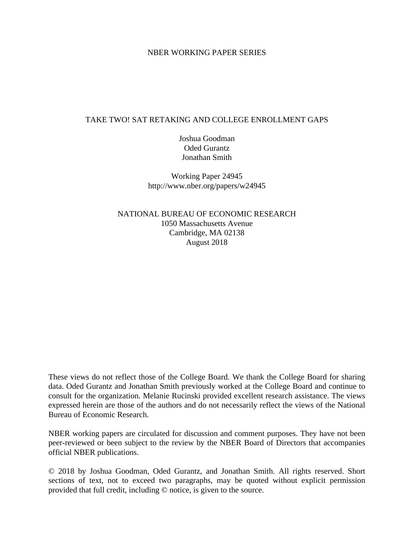## NBER WORKING PAPER SERIES

# TAKE TWO! SAT RETAKING AND COLLEGE ENROLLMENT GAPS

Joshua Goodman Oded Gurantz Jonathan Smith

Working Paper 24945 http://www.nber.org/papers/w24945

NATIONAL BUREAU OF ECONOMIC RESEARCH 1050 Massachusetts Avenue Cambridge, MA 02138 August 2018

These views do not reflect those of the College Board. We thank the College Board for sharing data. Oded Gurantz and Jonathan Smith previously worked at the College Board and continue to consult for the organization. Melanie Rucinski provided excellent research assistance. The views expressed herein are those of the authors and do not necessarily reflect the views of the National Bureau of Economic Research.

NBER working papers are circulated for discussion and comment purposes. They have not been peer-reviewed or been subject to the review by the NBER Board of Directors that accompanies official NBER publications.

© 2018 by Joshua Goodman, Oded Gurantz, and Jonathan Smith. All rights reserved. Short sections of text, not to exceed two paragraphs, may be quoted without explicit permission provided that full credit, including © notice, is given to the source.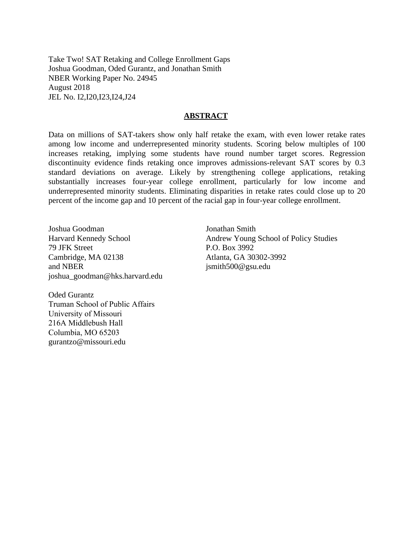Take Two! SAT Retaking and College Enrollment Gaps Joshua Goodman, Oded Gurantz, and Jonathan Smith NBER Working Paper No. 24945 August 2018 JEL No. I2,I20,I23,I24,J24

## **ABSTRACT**

Data on millions of SAT-takers show only half retake the exam, with even lower retake rates among low income and underrepresented minority students. Scoring below multiples of 100 increases retaking, implying some students have round number target scores. Regression discontinuity evidence finds retaking once improves admissions-relevant SAT scores by 0.3 standard deviations on average. Likely by strengthening college applications, retaking substantially increases four-year college enrollment, particularly for low income and underrepresented minority students. Eliminating disparities in retake rates could close up to 20 percent of the income gap and 10 percent of the racial gap in four-year college enrollment.

Joshua Goodman Harvard Kennedy School 79 JFK Street Cambridge, MA 02138 and NBER joshua\_goodman@hks.harvard.edu

Jonathan Smith Andrew Young School of Policy Studies P.O. Box 3992 Atlanta, GA 30302-3992 jsmith500@gsu.edu

Oded Gurantz Truman School of Public Affairs University of Missouri 216A Middlebush Hall Columbia, MO 65203 gurantzo@missouri.edu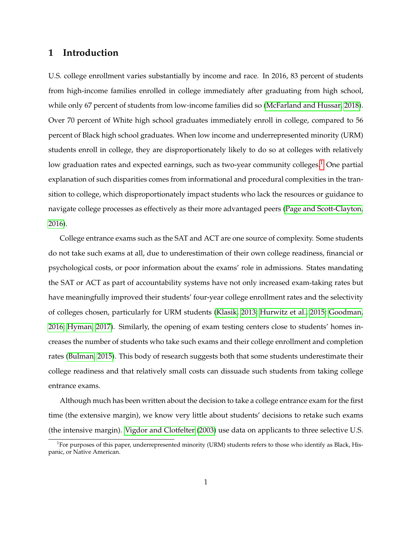# **1 Introduction**

U.S. college enrollment varies substantially by income and race. In 2016, 83 percent of students from high-income families enrolled in college immediately after graduating from high school, while only 67 percent of students from low-income families did so [\(McFarland and Hussar, 2018\)](#page-28-0). Over 70 percent of White high school graduates immediately enroll in college, compared to 56 percent of Black high school graduates. When low income and underrepresented minority (URM) students enroll in college, they are disproportionately likely to do so at colleges with relatively low graduation rates and expected earnings, such as two-year community colleges.<sup>[1](#page-2-0)</sup> One partial explanation of such disparities comes from informational and procedural complexities in the transition to college, which disproportionately impact students who lack the resources or guidance to navigate college processes as effectively as their more advantaged peers [\(Page and Scott-Clayton,](#page-28-1) [2016\)](#page-28-1).

College entrance exams such as the SAT and ACT are one source of complexity. Some students do not take such exams at all, due to underestimation of their own college readiness, financial or psychological costs, or poor information about the exams' role in admissions. States mandating the SAT or ACT as part of accountability systems have not only increased exam-taking rates but have meaningfully improved their students' four-year college enrollment rates and the selectivity of colleges chosen, particularly for URM students [\(Klasik, 2013;](#page-28-2) [Hurwitz et al., 2015;](#page-28-3) [Goodman,](#page-28-4) [2016;](#page-28-4) [Hyman, 2017\)](#page-28-5). Similarly, the opening of exam testing centers close to students' homes increases the number of students who take such exams and their college enrollment and completion rates [\(Bulman, 2015\)](#page-27-0). This body of research suggests both that some students underestimate their college readiness and that relatively small costs can dissuade such students from taking college entrance exams.

Although much has been written about the decision to take a college entrance exam for the first time (the extensive margin), we know very little about students' decisions to retake such exams (the intensive margin). [Vigdor and Clotfelter](#page-29-0) [\(2003\)](#page-29-0) use data on applicants to three selective U.S.

<span id="page-2-0"></span><sup>&</sup>lt;sup>1</sup>For purposes of this paper, underrepresented minority (URM) students refers to those who identify as Black, Hispanic, or Native American.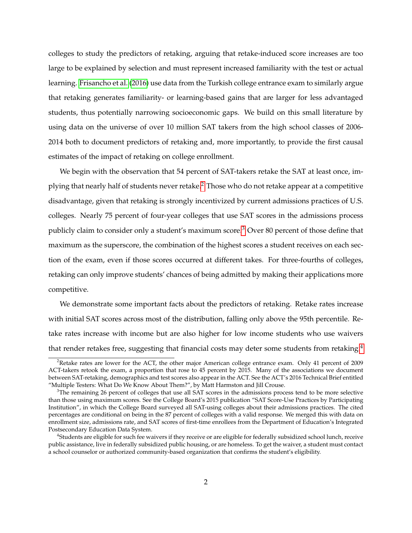colleges to study the predictors of retaking, arguing that retake-induced score increases are too large to be explained by selection and must represent increased familiarity with the test or actual learning. [Frisancho et al.](#page-28-6) [\(2016\)](#page-28-6) use data from the Turkish college entrance exam to similarly argue that retaking generates familiarity- or learning-based gains that are larger for less advantaged students, thus potentially narrowing socioeconomic gaps. We build on this small literature by using data on the universe of over 10 million SAT takers from the high school classes of 2006- 2014 both to document predictors of retaking and, more importantly, to provide the first causal estimates of the impact of retaking on college enrollment.

We begin with the observation that 54 percent of SAT-takers retake the SAT at least once, implying that nearly half of students never retake.[2](#page-3-0) Those who do not retake appear at a competitive disadvantage, given that retaking is strongly incentivized by current admissions practices of U.S. colleges. Nearly 75 percent of four-year colleges that use SAT scores in the admissions process publicly claim to consider only a student's maximum score.[3](#page-3-1) Over 80 percent of those define that maximum as the superscore, the combination of the highest scores a student receives on each section of the exam, even if those scores occurred at different takes. For three-fourths of colleges, retaking can only improve students' chances of being admitted by making their applications more competitive.

We demonstrate some important facts about the predictors of retaking. Retake rates increase with initial SAT scores across most of the distribution, falling only above the 95th percentile. Retake rates increase with income but are also higher for low income students who use waivers that render retakes free, suggesting that financial costs may deter some students from retaking.<sup>[4](#page-3-2)</sup>

<span id="page-3-0"></span><sup>&</sup>lt;sup>2</sup>Retake rates are lower for the ACT, the other major American college entrance exam. Only 41 percent of 2009 ACT-takers retook the exam, a proportion that rose to 45 percent by 2015. Many of the associations we document between SAT-retaking, demographics and test scores also appear in the ACT. See the ACT's 2016 Technical Brief entitled "Multiple Testers: What Do We Know About Them?", by Matt Harmston and Jill Crouse.

<span id="page-3-1"></span> $3$ The remaining 26 percent of colleges that use all SAT scores in the admissions process tend to be more selective than those using maximum scores. See the College Board's 2015 publication "SAT Score-Use Practices by Participating Institution", in which the College Board surveyed all SAT-using colleges about their admissions practices. The cited percentages are conditional on being in the 87 percent of colleges with a valid response. We merged this with data on enrollment size, admissions rate, and SAT scores of first-time enrollees from the Department of Education's Integrated Postsecondary Education Data System.

<span id="page-3-2"></span><sup>4</sup> Students are eligible for such fee waivers if they receive or are eligible for federally subsidized school lunch, receive public assistance, live in federally subsidized public housing, or are homeless. To get the waiver, a student must contact a school counselor or authorized community-based organization that confirms the student's eligibility.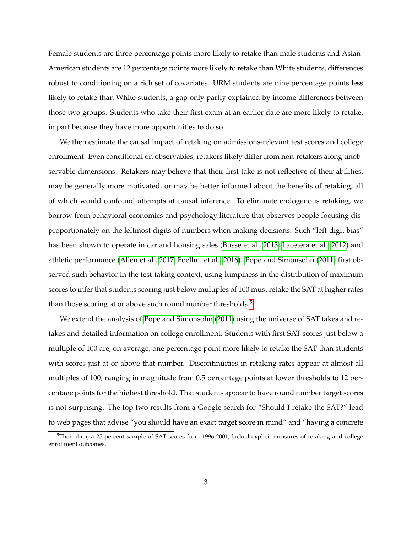Female students are three percentage points more likely to retake than male students and Asian-American students are 12 percentage points more likely to retake than White students, differences robust to conditioning on a rich set of covariates. URM students are nine percentage points less likely to retake than White students, a gap only partly explained by income differences between those two groups. Students who take their first exam at an earlier date are more likely to retake, in part because they have more opportunities to do so.

We then estimate the causal impact of retaking on admissions-relevant test scores and college enrollment. Even conditional on observables, retakers likely differ from non-retakers along unobservable dimensions. Retakers may believe that their first take is not reflective of their abilities, may be generally more motivated, or may be better informed about the benefits of retaking, all of which would confound attempts at causal inference. To eliminate endogenous retaking, we borrow from behavioral economics and psychology literature that observes people focusing disproportionately on the leftmost digits of numbers when making decisions. Such "left-digit bias" has been shown to operate in car and housing sales [\(Busse et al., 2013;](#page-27-1) [Lacetera et al., 2012\)](#page-28-7) and athletic performance [\(Allen et al., 2017;](#page-27-2) [Foellmi et al., 2016\)](#page-28-8). [Pope and Simonsohn](#page-29-1) [\(2011\)](#page-29-1) first observed such behavior in the test-taking context, using lumpiness in the distribution of maximum scores to infer that students scoring just below multiples of 100 must retake the SAT at higher rates than those scoring at or above such round number thresholds. $5$ 

We extend the analysis of [Pope and Simonsohn](#page-29-1) [\(2011\)](#page-29-1) using the universe of SAT takes and retakes and detailed information on college enrollment. Students with first SAT scores just below a multiple of 100 are, on average, one percentage point more likely to retake the SAT than students with scores just at or above that number. Discontinuities in retaking rates appear at almost all multiples of 100, ranging in magnitude from 0.5 percentage points at lower thresholds to 12 percentage points for the highest threshold. That students appear to have round number target scores is not surprising. The top two results from a Google search for "Should I retake the SAT?" lead to web pages that advise "you should have an exact target score in mind" and "having a concrete

<span id="page-4-0"></span><sup>&</sup>lt;sup>5</sup>Their data, a 25 percent sample of SAT scores from 1996-2001, lacked explicit measures of retaking and college enrollment outcomes.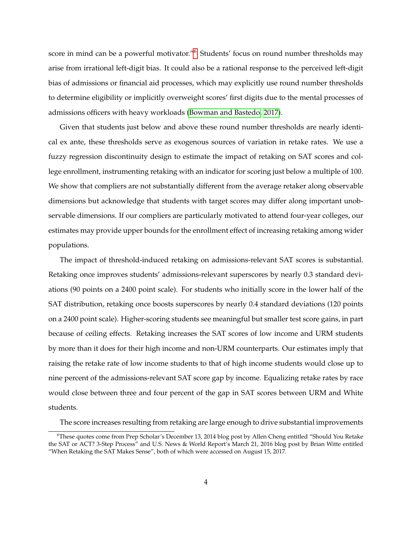score in mind can be a powerful motivator."<sup>[6](#page-5-0)</sup> Students' focus on round number thresholds may arise from irrational left-digit bias. It could also be a rational response to the perceived left-digit bias of admissions or financial aid processes, which may explicitly use round number thresholds to determine eligibility or implicitly overweight scores' first digits due to the mental processes of admissions officers with heavy workloads [\(Bowman and Bastedo, 2017\)](#page-27-3).

Given that students just below and above these round number thresholds are nearly identical ex ante, these thresholds serve as exogenous sources of variation in retake rates. We use a fuzzy regression discontinuity design to estimate the impact of retaking on SAT scores and college enrollment, instrumenting retaking with an indicator for scoring just below a multiple of 100. We show that compliers are not substantially different from the average retaker along observable dimensions but acknowledge that students with target scores may differ along important unobservable dimensions. If our compliers are particularly motivated to attend four-year colleges, our estimates may provide upper bounds for the enrollment effect of increasing retaking among wider populations.

The impact of threshold-induced retaking on admissions-relevant SAT scores is substantial. Retaking once improves students' admissions-relevant superscores by nearly 0.3 standard deviations (90 points on a 2400 point scale). For students who initially score in the lower half of the SAT distribution, retaking once boosts superscores by nearly 0.4 standard deviations (120 points on a 2400 point scale). Higher-scoring students see meaningful but smaller test score gains, in part because of ceiling effects. Retaking increases the SAT scores of low income and URM students by more than it does for their high income and non-URM counterparts. Our estimates imply that raising the retake rate of low income students to that of high income students would close up to nine percent of the admissions-relevant SAT score gap by income. Equalizing retake rates by race would close between three and four percent of the gap in SAT scores between URM and White students.

The score increases resulting from retaking are large enough to drive substantial improvements

<span id="page-5-0"></span><sup>6</sup>These quotes come from Prep Scholar's December 13, 2014 blog post by Allen Cheng entitled "Should You Retake the SAT or ACT? 3-Step Process" and U.S. News & World Report's March 21, 2016 blog post by Brian Witte entitled "When Retaking the SAT Makes Sense", both of which were accessed on August 15, 2017.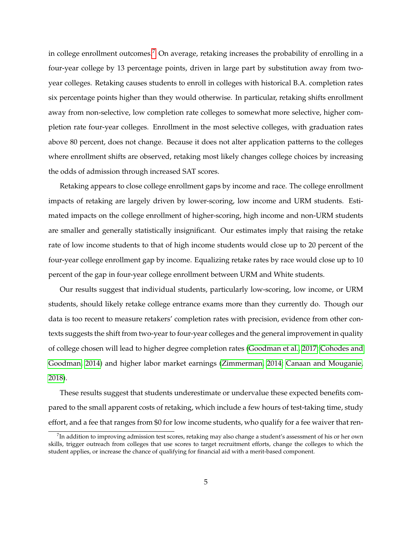in college enrollment outcomes.<sup>[7](#page-6-0)</sup> On average, retaking increases the probability of enrolling in a four-year college by 13 percentage points, driven in large part by substitution away from twoyear colleges. Retaking causes students to enroll in colleges with historical B.A. completion rates six percentage points higher than they would otherwise. In particular, retaking shifts enrollment away from non-selective, low completion rate colleges to somewhat more selective, higher completion rate four-year colleges. Enrollment in the most selective colleges, with graduation rates above 80 percent, does not change. Because it does not alter application patterns to the colleges where enrollment shifts are observed, retaking most likely changes college choices by increasing the odds of admission through increased SAT scores.

Retaking appears to close college enrollment gaps by income and race. The college enrollment impacts of retaking are largely driven by lower-scoring, low income and URM students. Estimated impacts on the college enrollment of higher-scoring, high income and non-URM students are smaller and generally statistically insignificant. Our estimates imply that raising the retake rate of low income students to that of high income students would close up to 20 percent of the four-year college enrollment gap by income. Equalizing retake rates by race would close up to 10 percent of the gap in four-year college enrollment between URM and White students.

Our results suggest that individual students, particularly low-scoring, low income, or URM students, should likely retake college entrance exams more than they currently do. Though our data is too recent to measure retakers' completion rates with precision, evidence from other contexts suggests the shift from two-year to four-year colleges and the general improvement in quality of college chosen will lead to higher degree completion rates [\(Goodman et al., 2017;](#page-28-9) [Cohodes and](#page-27-4) [Goodman, 2014\)](#page-27-4) and higher labor market earnings [\(Zimmerman, 2014;](#page-29-2) [Canaan and Mouganie,](#page-27-5) [2018\)](#page-27-5).

These results suggest that students underestimate or undervalue these expected benefits compared to the small apparent costs of retaking, which include a few hours of test-taking time, study effort, and a fee that ranges from \$0 for low income students, who qualify for a fee waiver that ren-

<span id="page-6-0"></span> $^7$ In addition to improving admission test scores, retaking may also change a student's assessment of his or her own skills, trigger outreach from colleges that use scores to target recruitment efforts, change the colleges to which the student applies, or increase the chance of qualifying for financial aid with a merit-based component.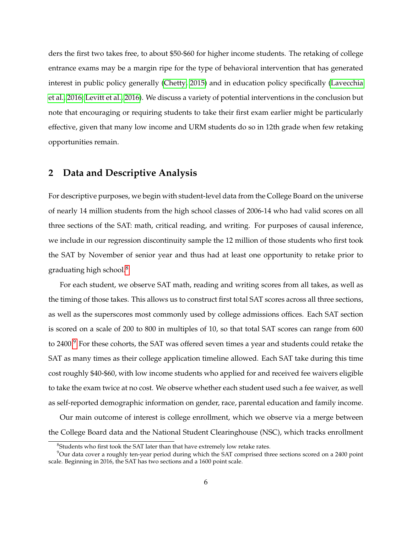ders the first two takes free, to about \$50-\$60 for higher income students. The retaking of college entrance exams may be a margin ripe for the type of behavioral intervention that has generated interest in public policy generally [\(Chetty, 2015\)](#page-27-6) and in education policy specifically [\(Lavecchia](#page-28-10) [et al., 2016;](#page-28-10) [Levitt et al., 2016\)](#page-28-11). We discuss a variety of potential interventions in the conclusion but note that encouraging or requiring students to take their first exam earlier might be particularly effective, given that many low income and URM students do so in 12th grade when few retaking opportunities remain.

## **2 Data and Descriptive Analysis**

For descriptive purposes, we begin with student-level data from the College Board on the universe of nearly 14 million students from the high school classes of 2006-14 who had valid scores on all three sections of the SAT: math, critical reading, and writing. For purposes of causal inference, we include in our regression discontinuity sample the 12 million of those students who first took the SAT by November of senior year and thus had at least one opportunity to retake prior to graduating high school. $8$ 

For each student, we observe SAT math, reading and writing scores from all takes, as well as the timing of those takes. This allows us to construct first total SAT scores across all three sections, as well as the superscores most commonly used by college admissions offices. Each SAT section is scored on a scale of 200 to 800 in multiples of 10, so that total SAT scores can range from 600 to 2400.<sup>[9](#page-7-1)</sup> For these cohorts, the SAT was offered seven times a year and students could retake the SAT as many times as their college application timeline allowed. Each SAT take during this time cost roughly \$40-\$60, with low income students who applied for and received fee waivers eligible to take the exam twice at no cost. We observe whether each student used such a fee waiver, as well as self-reported demographic information on gender, race, parental education and family income.

Our main outcome of interest is college enrollment, which we observe via a merge between the College Board data and the National Student Clearinghouse (NSC), which tracks enrollment

<span id="page-7-1"></span><span id="page-7-0"></span><sup>&</sup>lt;sup>8</sup>Students who first took the SAT later than that have extremely low retake rates.

<sup>9</sup>Our data cover a roughly ten-year period during which the SAT comprised three sections scored on a 2400 point scale. Beginning in 2016, the SAT has two sections and a 1600 point scale.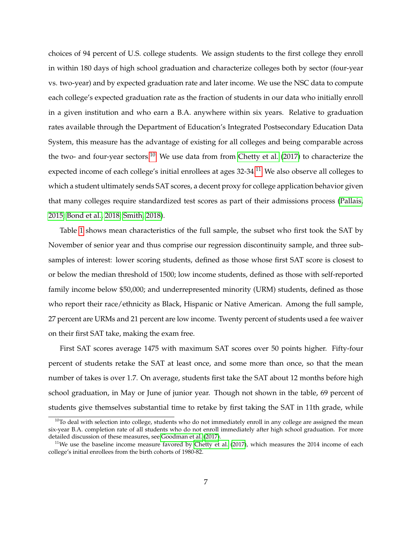choices of 94 percent of U.S. college students. We assign students to the first college they enroll in within 180 days of high school graduation and characterize colleges both by sector (four-year vs. two-year) and by expected graduation rate and later income. We use the NSC data to compute each college's expected graduation rate as the fraction of students in our data who initially enroll in a given institution and who earn a B.A. anywhere within six years. Relative to graduation rates available through the Department of Education's Integrated Postsecondary Education Data System, this measure has the advantage of existing for all colleges and being comparable across the two- and four-year sectors.<sup>[10](#page-8-0)</sup> We use data from from [Chetty et al.](#page-27-7) [\(2017\)](#page-27-7) to characterize the expected income of each college's initial enrollees at ages 32-34.<sup>[11](#page-8-1)</sup> We also observe all colleges to which a student ultimately sends SAT scores, a decent proxy for college application behavior given that many colleges require standardized test scores as part of their admissions process [\(Pallais,](#page-29-3) [2015;](#page-29-3) [Bond et al., 2018;](#page-27-8) [Smith, 2018\)](#page-29-4).

Table [1](#page-35-0) shows mean characteristics of the full sample, the subset who first took the SAT by November of senior year and thus comprise our regression discontinuity sample, and three subsamples of interest: lower scoring students, defined as those whose first SAT score is closest to or below the median threshold of 1500; low income students, defined as those with self-reported family income below \$50,000; and underrepresented minority (URM) students, defined as those who report their race/ethnicity as Black, Hispanic or Native American. Among the full sample, 27 percent are URMs and 21 percent are low income. Twenty percent of students used a fee waiver on their first SAT take, making the exam free.

First SAT scores average 1475 with maximum SAT scores over 50 points higher. Fifty-four percent of students retake the SAT at least once, and some more than once, so that the mean number of takes is over 1.7. On average, students first take the SAT about 12 months before high school graduation, in May or June of junior year. Though not shown in the table, 69 percent of students give themselves substantial time to retake by first taking the SAT in 11th grade, while

<span id="page-8-0"></span> $10$ To deal with selection into college, students who do not immediately enroll in any college are assigned the mean six-year B.A. completion rate of all students who do not enroll immediately after high school graduation. For more detailed discussion of these measures, see [Goodman et al.](#page-28-9) [\(2017\)](#page-28-9).

<span id="page-8-1"></span> $11$ We use the baseline income measure favored by [Chetty et al.](#page-27-7) [\(2017\)](#page-27-7), which measures the 2014 income of each college's initial enrollees from the birth cohorts of 1980-82.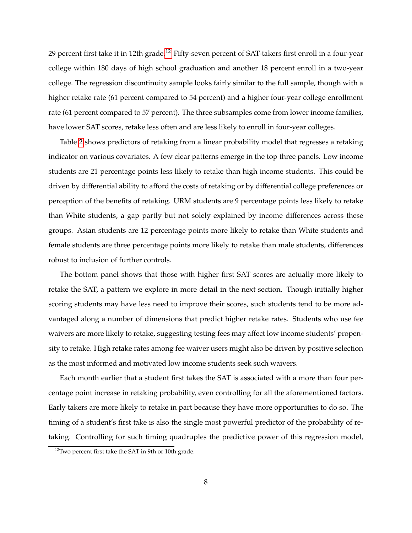29 percent first take it in [12](#page-9-0)th grade.<sup>12</sup> Fifty-seven percent of SAT-takers first enroll in a four-year college within 180 days of high school graduation and another 18 percent enroll in a two-year college. The regression discontinuity sample looks fairly similar to the full sample, though with a higher retake rate (61 percent compared to 54 percent) and a higher four-year college enrollment rate (61 percent compared to 57 percent). The three subsamples come from lower income families, have lower SAT scores, retake less often and are less likely to enroll in four-year colleges.

Table [2](#page-36-0) shows predictors of retaking from a linear probability model that regresses a retaking indicator on various covariates. A few clear patterns emerge in the top three panels. Low income students are 21 percentage points less likely to retake than high income students. This could be driven by differential ability to afford the costs of retaking or by differential college preferences or perception of the benefits of retaking. URM students are 9 percentage points less likely to retake than White students, a gap partly but not solely explained by income differences across these groups. Asian students are 12 percentage points more likely to retake than White students and female students are three percentage points more likely to retake than male students, differences robust to inclusion of further controls.

The bottom panel shows that those with higher first SAT scores are actually more likely to retake the SAT, a pattern we explore in more detail in the next section. Though initially higher scoring students may have less need to improve their scores, such students tend to be more advantaged along a number of dimensions that predict higher retake rates. Students who use fee waivers are more likely to retake, suggesting testing fees may affect low income students' propensity to retake. High retake rates among fee waiver users might also be driven by positive selection as the most informed and motivated low income students seek such waivers.

Each month earlier that a student first takes the SAT is associated with a more than four percentage point increase in retaking probability, even controlling for all the aforementioned factors. Early takers are more likely to retake in part because they have more opportunities to do so. The timing of a student's first take is also the single most powerful predictor of the probability of retaking. Controlling for such timing quadruples the predictive power of this regression model,

<span id="page-9-0"></span><sup>12</sup>Two percent first take the SAT in 9th or 10th grade.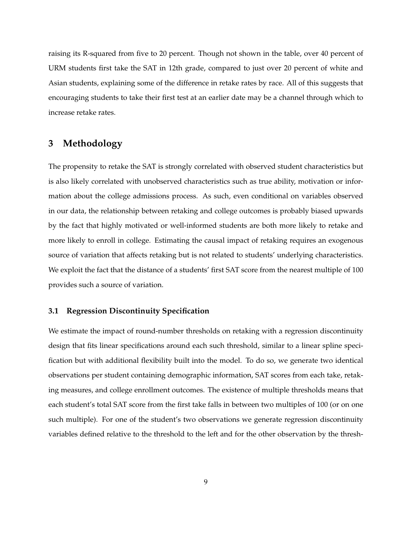raising its R-squared from five to 20 percent. Though not shown in the table, over 40 percent of URM students first take the SAT in 12th grade, compared to just over 20 percent of white and Asian students, explaining some of the difference in retake rates by race. All of this suggests that encouraging students to take their first test at an earlier date may be a channel through which to increase retake rates.

# **3 Methodology**

The propensity to retake the SAT is strongly correlated with observed student characteristics but is also likely correlated with unobserved characteristics such as true ability, motivation or information about the college admissions process. As such, even conditional on variables observed in our data, the relationship between retaking and college outcomes is probably biased upwards by the fact that highly motivated or well-informed students are both more likely to retake and more likely to enroll in college. Estimating the causal impact of retaking requires an exogenous source of variation that affects retaking but is not related to students' underlying characteristics. We exploit the fact that the distance of a students' first SAT score from the nearest multiple of 100 provides such a source of variation.

### **3.1 Regression Discontinuity Specification**

We estimate the impact of round-number thresholds on retaking with a regression discontinuity design that fits linear specifications around each such threshold, similar to a linear spline specification but with additional flexibility built into the model. To do so, we generate two identical observations per student containing demographic information, SAT scores from each take, retaking measures, and college enrollment outcomes. The existence of multiple thresholds means that each student's total SAT score from the first take falls in between two multiples of 100 (or on one such multiple). For one of the student's two observations we generate regression discontinuity variables defined relative to the threshold to the left and for the other observation by the thresh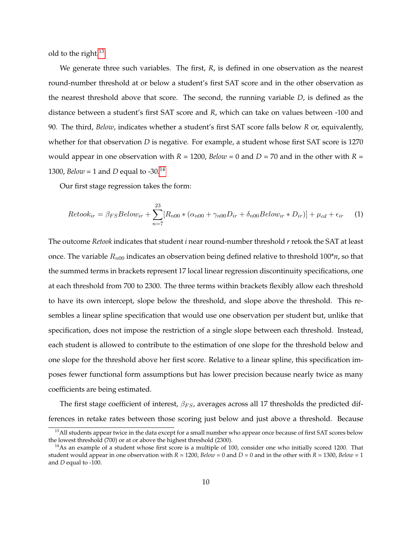old to the right.[13](#page-11-0)

We generate three such variables. The first, *R*, is defined in one observation as the nearest round-number threshold at or below a student's first SAT score and in the other observation as the nearest threshold above that score. The second, the running variable *D*, is defined as the distance between a student's first SAT score and *R*, which can take on values between -100 and 90. The third, *Below*, indicates whether a student's first SAT score falls below *R* or, equivalently, whether for that observation *D* is negative. For example, a student whose first SAT score is 1270 would appear in one observation with  $R = 1200$ ,  $Below = 0$  and  $D = 70$  and in the other with  $R =$ 1300, *Below* = 1 and *D* equal to -30.<sup>[14](#page-11-1)</sup>

Our first stage regression takes the form:

<span id="page-11-2"></span>
$$
Retook_{ir} = \beta_{FS} Below_{ir} + \sum_{n=7}^{23} [R_{n00} * (\alpha_{n00} + \gamma_{n00}D_{ir} + \delta_{n00} Below_{ir} * D_{ir})] + \mu_{cd} + \epsilon_{ir}
$$
 (1)

The outcome *Retook* indicates that student *i* near round-number threshold *r* retook the SAT at least once. The variable  $R_{n00}$  indicates an observation being defined relative to threshold  $100^*n$ , so that the summed terms in brackets represent 17 local linear regression discontinuity specifications, one at each threshold from 700 to 2300. The three terms within brackets flexibly allow each threshold to have its own intercept, slope below the threshold, and slope above the threshold. This resembles a linear spline specification that would use one observation per student but, unlike that specification, does not impose the restriction of a single slope between each threshold. Instead, each student is allowed to contribute to the estimation of one slope for the threshold below and one slope for the threshold above her first score. Relative to a linear spline, this specification imposes fewer functional form assumptions but has lower precision because nearly twice as many coefficients are being estimated.

The first stage coefficient of interest,  $\beta_{FS}$ , averages across all 17 thresholds the predicted differences in retake rates between those scoring just below and just above a threshold. Because

<span id="page-11-0"></span> $13$  All students appear twice in the data except for a small number who appear once because of first SAT scores below the lowest threshold (700) or at or above the highest threshold (2300).

<span id="page-11-1"></span> $14$ As an example of a student whose first score is a multiple of 100, consider one who initially scored 1200. That student would appear in one observation with  $R = 1200$ ,  $Below = 0$  and  $D = 0$  and in the other with  $R = 1300$ ,  $Below = 1$ and *D* equal to -100.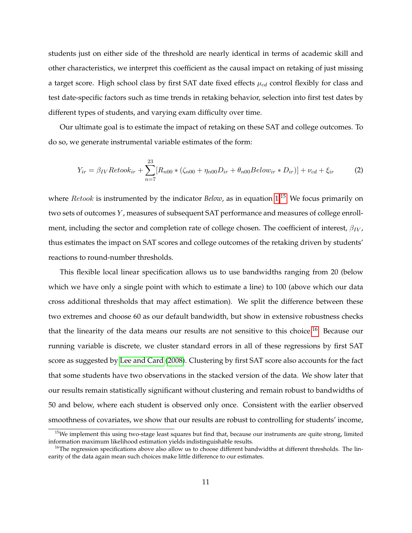students just on either side of the threshold are nearly identical in terms of academic skill and other characteristics, we interpret this coefficient as the causal impact on retaking of just missing a target score. High school class by first SAT date fixed effects  $\mu_{cd}$  control flexibly for class and test date-specific factors such as time trends in retaking behavior, selection into first test dates by different types of students, and varying exam difficulty over time.

Our ultimate goal is to estimate the impact of retaking on these SAT and college outcomes. To do so, we generate instrumental variable estimates of the form:

<span id="page-12-2"></span>
$$
Y_{ir} = \beta_{IV} Retook_{ir} + \sum_{n=7}^{23} [R_{n00} * (\zeta_{n00} + \eta_{n00}D_{ir} + \theta_{n00} Below_{ir} * D_{ir})] + \nu_{cd} + \xi_{ir}
$$
 (2)

where *Retook* is instrumented by the indicator *Below*, as in equation [1.](#page-11-2)<sup>[15](#page-12-0)</sup> We focus primarily on two sets of outcomes Y, measures of subsequent SAT performance and measures of college enrollment, including the sector and completion rate of college chosen. The coefficient of interest,  $\beta_{IV}$ , thus estimates the impact on SAT scores and college outcomes of the retaking driven by students' reactions to round-number thresholds.

This flexible local linear specification allows us to use bandwidths ranging from 20 (below which we have only a single point with which to estimate a line) to 100 (above which our data cross additional thresholds that may affect estimation). We split the difference between these two extremes and choose 60 as our default bandwidth, but show in extensive robustness checks that the linearity of the data means our results are not sensitive to this choice.<sup>[16](#page-12-1)</sup> Because our running variable is discrete, we cluster standard errors in all of these regressions by first SAT score as suggested by [Lee and Card](#page-28-12) [\(2008\)](#page-28-12). Clustering by first SAT score also accounts for the fact that some students have two observations in the stacked version of the data. We show later that our results remain statistically significant without clustering and remain robust to bandwidths of 50 and below, where each student is observed only once. Consistent with the earlier observed smoothness of covariates, we show that our results are robust to controlling for students' income,

<span id="page-12-0"></span> $15$ We implement this using two-stage least squares but find that, because our instruments are quite strong, limited information maximum likelihood estimation yields indistinguishable results.

<span id="page-12-1"></span> $<sup>16</sup>$ The regression specifications above also allow us to choose different bandwidths at different thresholds. The lin-</sup> earity of the data again mean such choices make little difference to our estimates.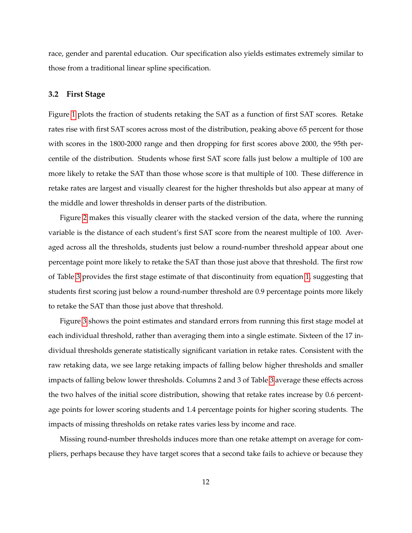race, gender and parental education. Our specification also yields estimates extremely similar to those from a traditional linear spline specification.

#### **3.2 First Stage**

Figure [1](#page-30-0) plots the fraction of students retaking the SAT as a function of first SAT scores. Retake rates rise with first SAT scores across most of the distribution, peaking above 65 percent for those with scores in the 1800-2000 range and then dropping for first scores above 2000, the 95th percentile of the distribution. Students whose first SAT score falls just below a multiple of 100 are more likely to retake the SAT than those whose score is that multiple of 100. These difference in retake rates are largest and visually clearest for the higher thresholds but also appear at many of the middle and lower thresholds in denser parts of the distribution.

Figure [2](#page-31-0) makes this visually clearer with the stacked version of the data, where the running variable is the distance of each student's first SAT score from the nearest multiple of 100. Averaged across all the thresholds, students just below a round-number threshold appear about one percentage point more likely to retake the SAT than those just above that threshold. The first row of Table [3](#page-37-0) provides the first stage estimate of that discontinuity from equation [1,](#page-11-2) suggesting that students first scoring just below a round-number threshold are 0.9 percentage points more likely to retake the SAT than those just above that threshold.

Figure [3](#page-32-0) shows the point estimates and standard errors from running this first stage model at each individual threshold, rather than averaging them into a single estimate. Sixteen of the 17 individual thresholds generate statistically significant variation in retake rates. Consistent with the raw retaking data, we see large retaking impacts of falling below higher thresholds and smaller impacts of falling below lower thresholds. Columns 2 and 3 of Table [3](#page-37-0) average these effects across the two halves of the initial score distribution, showing that retake rates increase by 0.6 percentage points for lower scoring students and 1.4 percentage points for higher scoring students. The impacts of missing thresholds on retake rates varies less by income and race.

Missing round-number thresholds induces more than one retake attempt on average for compliers, perhaps because they have target scores that a second take fails to achieve or because they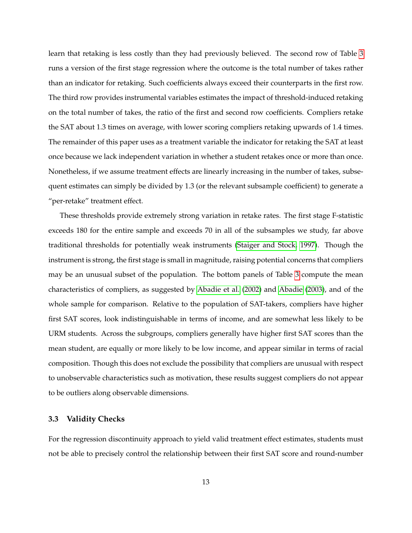learn that retaking is less costly than they had previously believed. The second row of Table [3](#page-37-0) runs a version of the first stage regression where the outcome is the total number of takes rather than an indicator for retaking. Such coefficients always exceed their counterparts in the first row. The third row provides instrumental variables estimates the impact of threshold-induced retaking on the total number of takes, the ratio of the first and second row coefficients. Compliers retake the SAT about 1.3 times on average, with lower scoring compliers retaking upwards of 1.4 times. The remainder of this paper uses as a treatment variable the indicator for retaking the SAT at least once because we lack independent variation in whether a student retakes once or more than once. Nonetheless, if we assume treatment effects are linearly increasing in the number of takes, subsequent estimates can simply be divided by 1.3 (or the relevant subsample coefficient) to generate a "per-retake" treatment effect.

These thresholds provide extremely strong variation in retake rates. The first stage F-statistic exceeds 180 for the entire sample and exceeds 70 in all of the subsamples we study, far above traditional thresholds for potentially weak instruments [\(Staiger and Stock, 1997\)](#page-29-5). Though the instrument is strong, the first stage is small in magnitude, raising potential concerns that compliers may be an unusual subset of the population. The bottom panels of Table [3](#page-37-0) compute the mean characteristics of compliers, as suggested by [Abadie et al.](#page-27-9) [\(2002\)](#page-27-9) and [Abadie](#page-27-10) [\(2003\)](#page-27-10), and of the whole sample for comparison. Relative to the population of SAT-takers, compliers have higher first SAT scores, look indistinguishable in terms of income, and are somewhat less likely to be URM students. Across the subgroups, compliers generally have higher first SAT scores than the mean student, are equally or more likely to be low income, and appear similar in terms of racial composition. Though this does not exclude the possibility that compliers are unusual with respect to unobservable characteristics such as motivation, these results suggest compliers do not appear to be outliers along observable dimensions.

#### **3.3 Validity Checks**

For the regression discontinuity approach to yield valid treatment effect estimates, students must not be able to precisely control the relationship between their first SAT score and round-number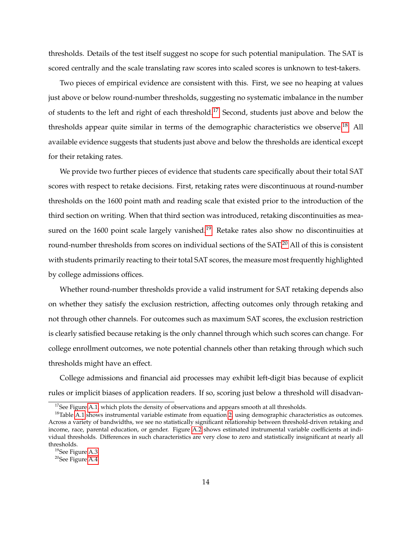thresholds. Details of the test itself suggest no scope for such potential manipulation. The SAT is scored centrally and the scale translating raw scores into scaled scores is unknown to test-takers.

Two pieces of empirical evidence are consistent with this. First, we see no heaping at values just above or below round-number thresholds, suggesting no systematic imbalance in the number of students to the left and right of each threshold.[17](#page-15-0) Second, students just above and below the thresholds appear quite similar in terms of the demographic characteristics we observe.<sup>[18](#page-15-1)</sup> All available evidence suggests that students just above and below the thresholds are identical except for their retaking rates.

We provide two further pieces of evidence that students care specifically about their total SAT scores with respect to retake decisions. First, retaking rates were discontinuous at round-number thresholds on the 1600 point math and reading scale that existed prior to the introduction of the third section on writing. When that third section was introduced, retaking discontinuities as mea-sured on the 1600 point scale largely vanished.<sup>[19](#page-15-2)</sup> Retake rates also show no discontinuities at round-number thresholds from scores on individual sections of the SAT.[20](#page-15-3) All of this is consistent with students primarily reacting to their total SAT scores, the measure most frequently highlighted by college admissions offices.

Whether round-number thresholds provide a valid instrument for SAT retaking depends also on whether they satisfy the exclusion restriction, affecting outcomes only through retaking and not through other channels. For outcomes such as maximum SAT scores, the exclusion restriction is clearly satisfied because retaking is the only channel through which such scores can change. For college enrollment outcomes, we note potential channels other than retaking through which such thresholds might have an effect.

College admissions and financial aid processes may exhibit left-digit bias because of explicit rules or implicit biases of application readers. If so, scoring just below a threshold will disadvan-

<span id="page-15-1"></span><span id="page-15-0"></span> $17$ See Figure [A.1,](#page-42-0) which plots the density of observations and appears smooth at all thresholds.

<sup>&</sup>lt;sup>18</sup>Table [A.1](#page-48-0) shows instrumental variable estimate from equation [2,](#page-12-2) using demographic characteristics as outcomes. Across a variety of bandwidths, we see no statistically significant relationship between threshold-driven retaking and income, race, parental education, or gender. Figure [A.2](#page-43-0) shows estimated instrumental variable coefficients at individual thresholds. Differences in such characteristics are very close to zero and statistically insignificant at nearly all thresholds.

<span id="page-15-2"></span><sup>19</sup>See Figure [A.3.](#page-44-0)

<span id="page-15-3"></span><sup>&</sup>lt;sup>20</sup>See Figure [A.4.](#page-45-0)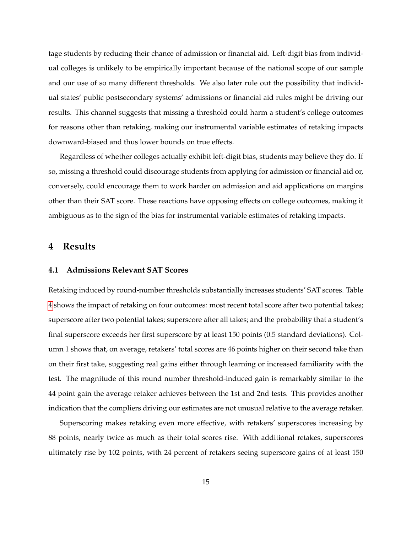tage students by reducing their chance of admission or financial aid. Left-digit bias from individual colleges is unlikely to be empirically important because of the national scope of our sample and our use of so many different thresholds. We also later rule out the possibility that individual states' public postsecondary systems' admissions or financial aid rules might be driving our results. This channel suggests that missing a threshold could harm a student's college outcomes for reasons other than retaking, making our instrumental variable estimates of retaking impacts downward-biased and thus lower bounds on true effects.

Regardless of whether colleges actually exhibit left-digit bias, students may believe they do. If so, missing a threshold could discourage students from applying for admission or financial aid or, conversely, could encourage them to work harder on admission and aid applications on margins other than their SAT score. These reactions have opposing effects on college outcomes, making it ambiguous as to the sign of the bias for instrumental variable estimates of retaking impacts.

# **4 Results**

## **4.1 Admissions Relevant SAT Scores**

Retaking induced by round-number thresholds substantially increases students' SAT scores. Table [4](#page-38-0) shows the impact of retaking on four outcomes: most recent total score after two potential takes; superscore after two potential takes; superscore after all takes; and the probability that a student's final superscore exceeds her first superscore by at least 150 points (0.5 standard deviations). Column 1 shows that, on average, retakers' total scores are 46 points higher on their second take than on their first take, suggesting real gains either through learning or increased familiarity with the test. The magnitude of this round number threshold-induced gain is remarkably similar to the 44 point gain the average retaker achieves between the 1st and 2nd tests. This provides another indication that the compliers driving our estimates are not unusual relative to the average retaker.

Superscoring makes retaking even more effective, with retakers' superscores increasing by 88 points, nearly twice as much as their total scores rise. With additional retakes, superscores ultimately rise by 102 points, with 24 percent of retakers seeing superscore gains of at least 150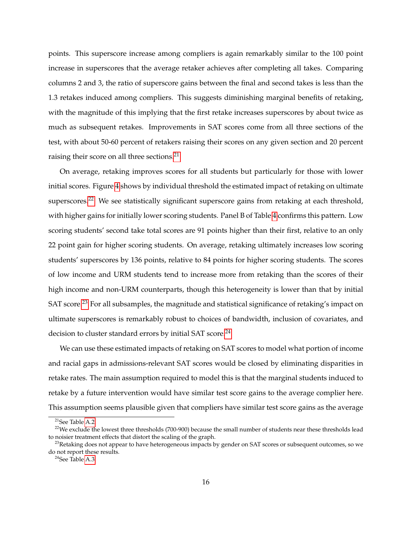points. This superscore increase among compliers is again remarkably similar to the 100 point increase in superscores that the average retaker achieves after completing all takes. Comparing columns 2 and 3, the ratio of superscore gains between the final and second takes is less than the 1.3 retakes induced among compliers. This suggests diminishing marginal benefits of retaking, with the magnitude of this implying that the first retake increases superscores by about twice as much as subsequent retakes. Improvements in SAT scores come from all three sections of the test, with about 50-60 percent of retakers raising their scores on any given section and 20 percent raising their score on all three sections.<sup>[21](#page-17-0)</sup>

On average, retaking improves scores for all students but particularly for those with lower initial scores. Figure [4](#page-33-0) shows by individual threshold the estimated impact of retaking on ultimate superscores.<sup>[22](#page-17-1)</sup> We see statistically significant superscore gains from retaking at each threshold, with higher gains for initially lower scoring students. Panel B of Table [4](#page-38-0) confirms this pattern. Low scoring students' second take total scores are 91 points higher than their first, relative to an only 22 point gain for higher scoring students. On average, retaking ultimately increases low scoring students' superscores by 136 points, relative to 84 points for higher scoring students. The scores of low income and URM students tend to increase more from retaking than the scores of their high income and non-URM counterparts, though this heterogeneity is lower than that by initial SAT score.<sup>[23](#page-17-2)</sup> For all subsamples, the magnitude and statistical significance of retaking's impact on ultimate superscores is remarkably robust to choices of bandwidth, inclusion of covariates, and decision to cluster standard errors by initial SAT score.<sup>[24](#page-17-3)</sup>

We can use these estimated impacts of retaking on SAT scores to model what portion of income and racial gaps in admissions-relevant SAT scores would be closed by eliminating disparities in retake rates. The main assumption required to model this is that the marginal students induced to retake by a future intervention would have similar test score gains to the average complier here. This assumption seems plausible given that compliers have similar test score gains as the average

<span id="page-17-1"></span><span id="page-17-0"></span><sup>21</sup>See Table [A.2.](#page-49-0)

 $22$ We exclude the lowest three thresholds (700-900) because the small number of students near these thresholds lead to noisier treatment effects that distort the scaling of the graph.

<span id="page-17-2"></span> $^{23}$ Retaking does not appear to have heterogeneous impacts by gender on SAT scores or subsequent outcomes, so we do not report these results.

<span id="page-17-3"></span> $24$ See Table [A.3.](#page-50-0)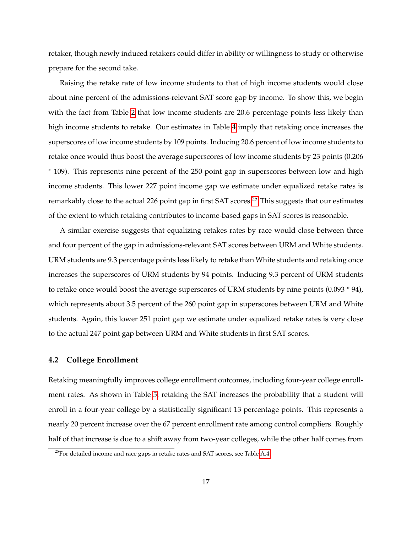retaker, though newly induced retakers could differ in ability or willingness to study or otherwise prepare for the second take.

Raising the retake rate of low income students to that of high income students would close about nine percent of the admissions-relevant SAT score gap by income. To show this, we begin with the fact from Table [2](#page-36-0) that low income students are 20.6 percentage points less likely than high income students to retake. Our estimates in Table [4](#page-38-0) imply that retaking once increases the superscores of low income students by 109 points. Inducing 20.6 percent of low income students to retake once would thus boost the average superscores of low income students by 23 points (0.206 \* 109). This represents nine percent of the 250 point gap in superscores between low and high income students. This lower 227 point income gap we estimate under equalized retake rates is remarkably close to the actual 226 point gap in first SAT scores.<sup>[25](#page-18-0)</sup> This suggests that our estimates of the extent to which retaking contributes to income-based gaps in SAT scores is reasonable.

A similar exercise suggests that equalizing retakes rates by race would close between three and four percent of the gap in admissions-relevant SAT scores between URM and White students. URM students are 9.3 percentage points less likely to retake than White students and retaking once increases the superscores of URM students by 94 points. Inducing 9.3 percent of URM students to retake once would boost the average superscores of URM students by nine points (0.093 \* 94), which represents about 3.5 percent of the 260 point gap in superscores between URM and White students. Again, this lower 251 point gap we estimate under equalized retake rates is very close to the actual 247 point gap between URM and White students in first SAT scores.

#### **4.2 College Enrollment**

Retaking meaningfully improves college enrollment outcomes, including four-year college enrollment rates. As shown in Table [5,](#page-39-0) retaking the SAT increases the probability that a student will enroll in a four-year college by a statistically significant 13 percentage points. This represents a nearly 20 percent increase over the 67 percent enrollment rate among control compliers. Roughly half of that increase is due to a shift away from two-year colleges, while the other half comes from

<span id="page-18-0"></span> $25$ For detailed income and race gaps in retake rates and SAT scores, see Table [A.4.](#page-51-0)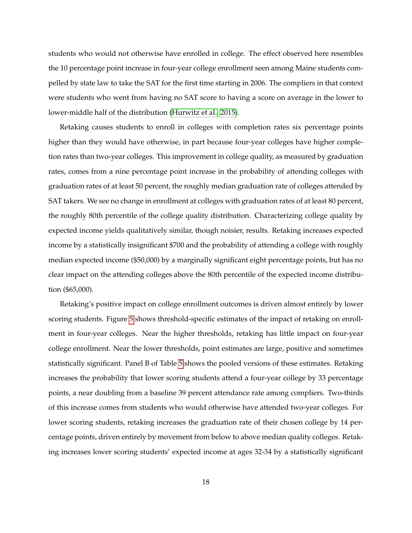students who would not otherwise have enrolled in college. The effect observed here resembles the 10 percentage point increase in four-year college enrollment seen among Maine students compelled by state law to take the SAT for the first time starting in 2006. The compliers in that context were students who went from having no SAT score to having a score on average in the lower to lower-middle half of the distribution [\(Hurwitz et al., 2015\)](#page-28-3).

Retaking causes students to enroll in colleges with completion rates six percentage points higher than they would have otherwise, in part because four-year colleges have higher completion rates than two-year colleges. This improvement in college quality, as measured by graduation rates, comes from a nine percentage point increase in the probability of attending colleges with graduation rates of at least 50 percent, the roughly median graduation rate of colleges attended by SAT takers. We see no change in enrollment at colleges with graduation rates of at least 80 percent, the roughly 80th percentile of the college quality distribution. Characterizing college quality by expected income yields qualitatively similar, though noisier, results. Retaking increases expected income by a statistically insignificant \$700 and the probability of attending a college with roughly median expected income (\$50,000) by a marginally significant eight percentage points, but has no clear impact on the attending colleges above the 80th percentile of the expected income distribution (\$65,000).

Retaking's positive impact on college enrollment outcomes is driven almost entirely by lower scoring students. Figure [5](#page-34-0) shows threshold-specific estimates of the impact of retaking on enrollment in four-year colleges. Near the higher thresholds, retaking has little impact on four-year college enrollment. Near the lower thresholds, point estimates are large, positive and sometimes statistically significant. Panel B of Table [5](#page-39-0) shows the pooled versions of these estimates. Retaking increases the probability that lower scoring students attend a four-year college by 33 percentage points, a near doubling from a baseline 39 percent attendance rate among compliers. Two-thirds of this increase comes from students who would otherwise have attended two-year colleges. For lower scoring students, retaking increases the graduation rate of their chosen college by 14 percentage points, driven entirely by movement from below to above median quality colleges. Retaking increases lower scoring students' expected income at ages 32-34 by a statistically significant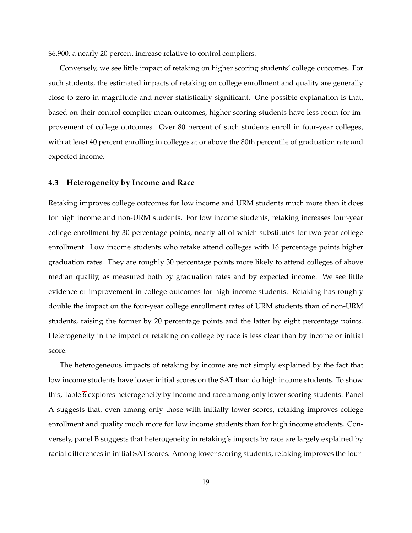\$6,900, a nearly 20 percent increase relative to control compliers.

Conversely, we see little impact of retaking on higher scoring students' college outcomes. For such students, the estimated impacts of retaking on college enrollment and quality are generally close to zero in magnitude and never statistically significant. One possible explanation is that, based on their control complier mean outcomes, higher scoring students have less room for improvement of college outcomes. Over 80 percent of such students enroll in four-year colleges, with at least 40 percent enrolling in colleges at or above the 80th percentile of graduation rate and expected income.

#### **4.3 Heterogeneity by Income and Race**

Retaking improves college outcomes for low income and URM students much more than it does for high income and non-URM students. For low income students, retaking increases four-year college enrollment by 30 percentage points, nearly all of which substitutes for two-year college enrollment. Low income students who retake attend colleges with 16 percentage points higher graduation rates. They are roughly 30 percentage points more likely to attend colleges of above median quality, as measured both by graduation rates and by expected income. We see little evidence of improvement in college outcomes for high income students. Retaking has roughly double the impact on the four-year college enrollment rates of URM students than of non-URM students, raising the former by 20 percentage points and the latter by eight percentage points. Heterogeneity in the impact of retaking on college by race is less clear than by income or initial score.

The heterogeneous impacts of retaking by income are not simply explained by the fact that low income students have lower initial scores on the SAT than do high income students. To show this, Table [6](#page-40-0) explores heterogeneity by income and race among only lower scoring students. Panel A suggests that, even among only those with initially lower scores, retaking improves college enrollment and quality much more for low income students than for high income students. Conversely, panel B suggests that heterogeneity in retaking's impacts by race are largely explained by racial differences in initial SAT scores. Among lower scoring students, retaking improves the four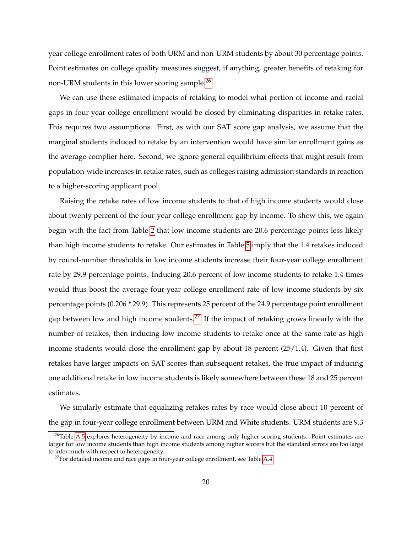year college enrollment rates of both URM and non-URM students by about 30 percentage points. Point estimates on college quality measures suggest, if anything, greater benefits of retaking for non-URM students in this lower scoring sample.<sup>[26](#page-21-0)</sup>

We can use these estimated impacts of retaking to model what portion of income and racial gaps in four-year college enrollment would be closed by eliminating disparities in retake rates. This requires two assumptions. First, as with our SAT score gap analysis, we assume that the marginal students induced to retake by an intervention would have similar enrollment gains as the average complier here. Second, we ignore general equilibrium effects that might result from population-wide increases in retake rates, such as colleges raising admission standards in reaction to a higher-scoring applicant pool.

Raising the retake rates of low income students to that of high income students would close about twenty percent of the four-year college enrollment gap by income. To show this, we again begin with the fact from Table [2](#page-36-0) that low income students are 20.6 percentage points less likely than high income students to retake. Our estimates in Table [5](#page-39-0) imply that the 1.4 retakes induced by round-number thresholds in low income students increase their four-year college enrollment rate by 29.9 percentage points. Inducing 20.6 percent of low income students to retake 1.4 times would thus boost the average four-year college enrollment rate of low income students by six percentage points (0.206 \* 29.9). This represents 25 percent of the 24.9 percentage point enrollment gap between low and high income students.<sup>[27](#page-21-1)</sup> If the impact of retaking grows linearly with the number of retakes, then inducing low income students to retake once at the same rate as high income students would close the enrollment gap by about 18 percent (25/1.4). Given that first retakes have larger impacts on SAT scores than subsequent retakes, the true impact of inducing one additional retake in low income students is likely somewhere between these 18 and 25 percent estimates.

We similarly estimate that equalizing retakes rates by race would close about 10 percent of the gap in four-year college enrollment between URM and White students. URM students are 9.3

<span id="page-21-0"></span><sup>&</sup>lt;sup>26</sup>Table [A.5](#page-52-0) explores heterogeneity by income and race among only higher scoring students. Point estimates are larger for low income students than high income students among higher scorers but the standard errors are too large to infer much with respect to heterogeneity.

<span id="page-21-1"></span> $27$  For detailed income and race gaps in four-year college enrollment, see Table [A.4.](#page-51-0)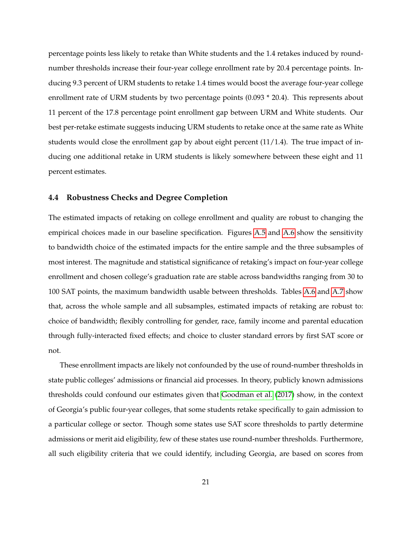percentage points less likely to retake than White students and the 1.4 retakes induced by roundnumber thresholds increase their four-year college enrollment rate by 20.4 percentage points. Inducing 9.3 percent of URM students to retake 1.4 times would boost the average four-year college enrollment rate of URM students by two percentage points (0.093 \* 20.4). This represents about 11 percent of the 17.8 percentage point enrollment gap between URM and White students. Our best per-retake estimate suggests inducing URM students to retake once at the same rate as White students would close the enrollment gap by about eight percent  $(11/1.4)$ . The true impact of inducing one additional retake in URM students is likely somewhere between these eight and 11 percent estimates.

#### **4.4 Robustness Checks and Degree Completion**

The estimated impacts of retaking on college enrollment and quality are robust to changing the empirical choices made in our baseline specification. Figures [A.5](#page-46-0) and [A.6](#page-47-0) show the sensitivity to bandwidth choice of the estimated impacts for the entire sample and the three subsamples of most interest. The magnitude and statistical significance of retaking's impact on four-year college enrollment and chosen college's graduation rate are stable across bandwidths ranging from 30 to 100 SAT points, the maximum bandwidth usable between thresholds. Tables [A.6](#page-53-0) and [A.7](#page-54-0) show that, across the whole sample and all subsamples, estimated impacts of retaking are robust to: choice of bandwidth; flexibly controlling for gender, race, family income and parental education through fully-interacted fixed effects; and choice to cluster standard errors by first SAT score or not.

These enrollment impacts are likely not confounded by the use of round-number thresholds in state public colleges' admissions or financial aid processes. In theory, publicly known admissions thresholds could confound our estimates given that [Goodman et al.](#page-28-9) [\(2017\)](#page-28-9) show, in the context of Georgia's public four-year colleges, that some students retake specifically to gain admission to a particular college or sector. Though some states use SAT score thresholds to partly determine admissions or merit aid eligibility, few of these states use round-number thresholds. Furthermore, all such eligibility criteria that we could identify, including Georgia, are based on scores from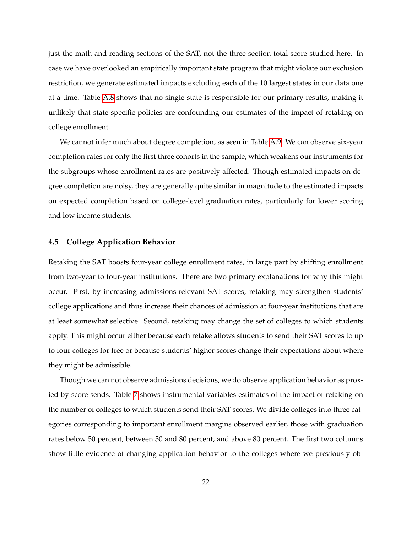just the math and reading sections of the SAT, not the three section total score studied here. In case we have overlooked an empirically important state program that might violate our exclusion restriction, we generate estimated impacts excluding each of the 10 largest states in our data one at a time. Table [A.8](#page-55-0) shows that no single state is responsible for our primary results, making it unlikely that state-specific policies are confounding our estimates of the impact of retaking on college enrollment.

We cannot infer much about degree completion, as seen in Table [A.9.](#page-56-0) We can observe six-year completion rates for only the first three cohorts in the sample, which weakens our instruments for the subgroups whose enrollment rates are positively affected. Though estimated impacts on degree completion are noisy, they are generally quite similar in magnitude to the estimated impacts on expected completion based on college-level graduation rates, particularly for lower scoring and low income students.

#### **4.5 College Application Behavior**

Retaking the SAT boosts four-year college enrollment rates, in large part by shifting enrollment from two-year to four-year institutions. There are two primary explanations for why this might occur. First, by increasing admissions-relevant SAT scores, retaking may strengthen students' college applications and thus increase their chances of admission at four-year institutions that are at least somewhat selective. Second, retaking may change the set of colleges to which students apply. This might occur either because each retake allows students to send their SAT scores to up to four colleges for free or because students' higher scores change their expectations about where they might be admissible.

Though we can not observe admissions decisions, we do observe application behavior as proxied by score sends. Table [7](#page-41-0) shows instrumental variables estimates of the impact of retaking on the number of colleges to which students send their SAT scores. We divide colleges into three categories corresponding to important enrollment margins observed earlier, those with graduation rates below 50 percent, between 50 and 80 percent, and above 80 percent. The first two columns show little evidence of changing application behavior to the colleges where we previously ob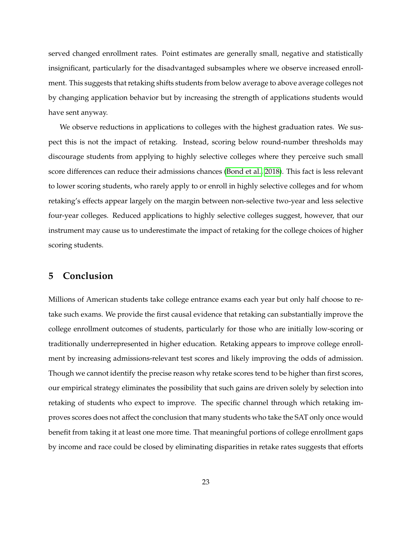served changed enrollment rates. Point estimates are generally small, negative and statistically insignificant, particularly for the disadvantaged subsamples where we observe increased enrollment. This suggests that retaking shifts students from below average to above average colleges not by changing application behavior but by increasing the strength of applications students would have sent anyway.

We observe reductions in applications to colleges with the highest graduation rates. We suspect this is not the impact of retaking. Instead, scoring below round-number thresholds may discourage students from applying to highly selective colleges where they perceive such small score differences can reduce their admissions chances [\(Bond et al., 2018\)](#page-27-8). This fact is less relevant to lower scoring students, who rarely apply to or enroll in highly selective colleges and for whom retaking's effects appear largely on the margin between non-selective two-year and less selective four-year colleges. Reduced applications to highly selective colleges suggest, however, that our instrument may cause us to underestimate the impact of retaking for the college choices of higher scoring students.

# **5 Conclusion**

Millions of American students take college entrance exams each year but only half choose to retake such exams. We provide the first causal evidence that retaking can substantially improve the college enrollment outcomes of students, particularly for those who are initially low-scoring or traditionally underrepresented in higher education. Retaking appears to improve college enrollment by increasing admissions-relevant test scores and likely improving the odds of admission. Though we cannot identify the precise reason why retake scores tend to be higher than first scores, our empirical strategy eliminates the possibility that such gains are driven solely by selection into retaking of students who expect to improve. The specific channel through which retaking improves scores does not affect the conclusion that many students who take the SAT only once would benefit from taking it at least one more time. That meaningful portions of college enrollment gaps by income and race could be closed by eliminating disparities in retake rates suggests that efforts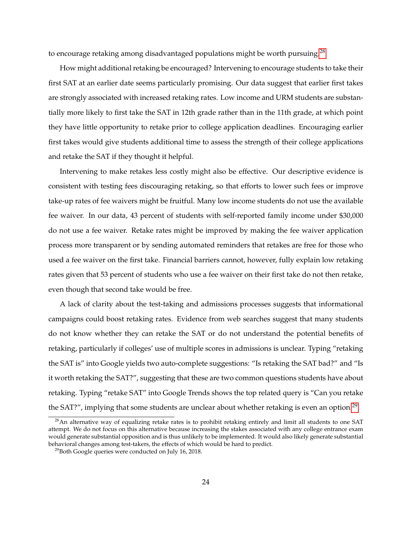to encourage retaking among disadvantaged populations might be worth pursuing.<sup>[28](#page-25-0)</sup>

How might additional retaking be encouraged? Intervening to encourage students to take their first SAT at an earlier date seems particularly promising. Our data suggest that earlier first takes are strongly associated with increased retaking rates. Low income and URM students are substantially more likely to first take the SAT in 12th grade rather than in the 11th grade, at which point they have little opportunity to retake prior to college application deadlines. Encouraging earlier first takes would give students additional time to assess the strength of their college applications and retake the SAT if they thought it helpful.

Intervening to make retakes less costly might also be effective. Our descriptive evidence is consistent with testing fees discouraging retaking, so that efforts to lower such fees or improve take-up rates of fee waivers might be fruitful. Many low income students do not use the available fee waiver. In our data, 43 percent of students with self-reported family income under \$30,000 do not use a fee waiver. Retake rates might be improved by making the fee waiver application process more transparent or by sending automated reminders that retakes are free for those who used a fee waiver on the first take. Financial barriers cannot, however, fully explain low retaking rates given that 53 percent of students who use a fee waiver on their first take do not then retake, even though that second take would be free.

A lack of clarity about the test-taking and admissions processes suggests that informational campaigns could boost retaking rates. Evidence from web searches suggest that many students do not know whether they can retake the SAT or do not understand the potential benefits of retaking, particularly if colleges' use of multiple scores in admissions is unclear. Typing "retaking the SAT is" into Google yields two auto-complete suggestions: "Is retaking the SAT bad?" and "Is it worth retaking the SAT?", suggesting that these are two common questions students have about retaking. Typing "retake SAT" into Google Trends shows the top related query is "Can you retake the SAT?", implying that some students are unclear about whether retaking is even an option.<sup>[29](#page-25-1)</sup>

<span id="page-25-0"></span><sup>&</sup>lt;sup>28</sup>An alternative way of equalizing retake rates is to prohibit retaking entirely and limit all students to one SAT attempt. We do not focus on this alternative because increasing the stakes associated with any college entrance exam would generate substantial opposition and is thus unlikely to be implemented. It would also likely generate substantial behavioral changes among test-takers, the effects of which would be hard to predict.

<span id="page-25-1"></span> $^{29}$ Both Google queries were conducted on July 16, 2018.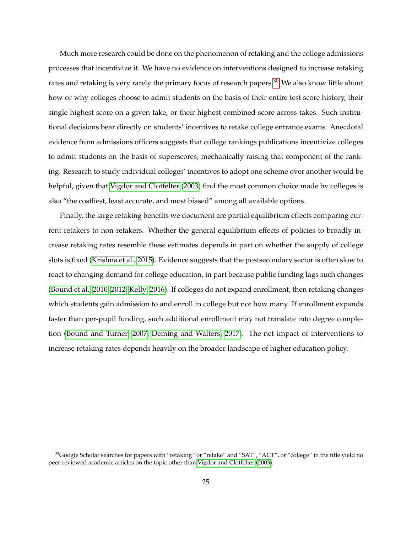Much more research could be done on the phenomenon of retaking and the college admissions processes that incentivize it. We have no evidence on interventions designed to increase retaking rates and retaking is very rarely the primary focus of research papers.<sup>[30](#page-26-0)</sup> We also know little about how or why colleges choose to admit students on the basis of their entire test score history, their single highest score on a given take, or their highest combined score across takes. Such institutional decisions bear directly on students' incentives to retake college entrance exams. Anecdotal evidence from admissions officers suggests that college rankings publications incentivize colleges to admit students on the basis of superscores, mechanically raising that component of the ranking. Research to study individual colleges' incentives to adopt one scheme over another would be helpful, given that [Vigdor and Clotfelter](#page-29-0) [\(2003\)](#page-29-0) find the most common choice made by colleges is also "the costliest, least accurate, and most biased" among all available options.

Finally, the large retaking benefits we document are partial equilibrium effects comparing current retakers to non-retakers. Whether the general equilibrium effects of policies to broadly increase retaking rates resemble these estimates depends in part on whether the supply of college slots is fixed [\(Krishna et al., 2015\)](#page-28-13). Evidence suggests that the postsecondary sector is often slow to react to changing demand for college education, in part because public funding lags such changes [\(Bound et al., 2010,](#page-27-11) [2012;](#page-27-12) [Kelly, 2016\)](#page-28-14). If colleges do not expand enrollment, then retaking changes which students gain admission to and enroll in college but not how many. If enrollment expands faster than per-pupil funding, such additional enrollment may not translate into degree completion [\(Bound and Turner, 2007;](#page-27-13) [Deming and Walters, 2017\)](#page-27-14). The net impact of interventions to increase retaking rates depends heavily on the broader landscape of higher education policy.

<span id="page-26-0"></span> $30$ Google Scholar searches for papers with "retaking" or "retake" and "SAT", "ACT", or "college" in the title yield no peer-reviewed academic articles on the topic other than [Vigdor and Clotfelter](#page-29-0) [\(2003\)](#page-29-0).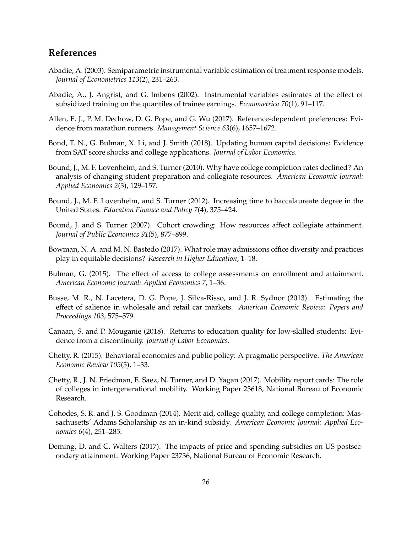# **References**

- <span id="page-27-10"></span>Abadie, A. (2003). Semiparametric instrumental variable estimation of treatment response models. *Journal of Econometrics 113*(2), 231–263.
- <span id="page-27-9"></span>Abadie, A., J. Angrist, and G. Imbens (2002). Instrumental variables estimates of the effect of subsidized training on the quantiles of trainee earnings. *Econometrica 70*(1), 91–117.
- <span id="page-27-2"></span>Allen, E. J., P. M. Dechow, D. G. Pope, and G. Wu (2017). Reference-dependent preferences: Evidence from marathon runners. *Management Science 63*(6), 1657–1672.
- <span id="page-27-8"></span>Bond, T. N., G. Bulman, X. Li, and J. Smith (2018). Updating human capital decisions: Evidence from SAT score shocks and college applications. *Journal of Labor Economics*.
- <span id="page-27-11"></span>Bound, J., M. F. Lovenheim, and S. Turner (2010). Why have college completion rates declined? An analysis of changing student preparation and collegiate resources. *American Economic Journal: Applied Economics 2*(3), 129–157.
- <span id="page-27-12"></span>Bound, J., M. F. Lovenheim, and S. Turner (2012). Increasing time to baccalaureate degree in the United States. *Education Finance and Policy 7*(4), 375–424.
- <span id="page-27-13"></span>Bound, J. and S. Turner (2007). Cohort crowding: How resources affect collegiate attainment. *Journal of Public Economics 91*(5), 877–899.
- <span id="page-27-3"></span>Bowman, N. A. and M. N. Bastedo (2017). What role may admissions office diversity and practices play in equitable decisions? *Research in Higher Education*, 1–18.
- <span id="page-27-0"></span>Bulman, G. (2015). The effect of access to college assessments on enrollment and attainment. *American Economic Journal: Applied Economics 7*, 1–36.
- <span id="page-27-1"></span>Busse, M. R., N. Lacetera, D. G. Pope, J. Silva-Risso, and J. R. Sydnor (2013). Estimating the effect of salience in wholesale and retail car markets. *American Economic Review: Papers and Proceedings 103*, 575–579.
- <span id="page-27-5"></span>Canaan, S. and P. Mouganie (2018). Returns to education quality for low-skilled students: Evidence from a discontinuity. *Journal of Labor Economics*.
- <span id="page-27-6"></span>Chetty, R. (2015). Behavioral economics and public policy: A pragmatic perspective. *The American Economic Review 105*(5), 1–33.
- <span id="page-27-7"></span>Chetty, R., J. N. Friedman, E. Saez, N. Turner, and D. Yagan (2017). Mobility report cards: The role of colleges in intergenerational mobility. Working Paper 23618, National Bureau of Economic Research.
- <span id="page-27-4"></span>Cohodes, S. R. and J. S. Goodman (2014). Merit aid, college quality, and college completion: Massachusetts' Adams Scholarship as an in-kind subsidy. *American Economic Journal: Applied Economics 6*(4), 251–285.
- <span id="page-27-14"></span>Deming, D. and C. Walters (2017). The impacts of price and spending subsidies on US postsecondary attainment. Working Paper 23736, National Bureau of Economic Research.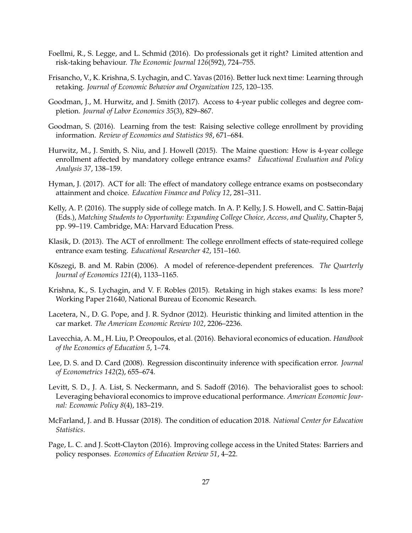- <span id="page-28-8"></span>Foellmi, R., S. Legge, and L. Schmid (2016). Do professionals get it right? Limited attention and risk-taking behaviour. *The Economic Journal 126*(592), 724–755.
- <span id="page-28-6"></span>Frisancho, V., K. Krishna, S. Lychagin, and C. Yavas (2016). Better luck next time: Learning through retaking. *Journal of Economic Behavior and Organization 125*, 120–135.
- <span id="page-28-9"></span>Goodman, J., M. Hurwitz, and J. Smith (2017). Access to 4-year public colleges and degree completion. *Journal of Labor Economics 35*(3), 829–867.
- <span id="page-28-4"></span>Goodman, S. (2016). Learning from the test: Raising selective college enrollment by providing information. *Review of Economics and Statistics 98*, 671–684.
- <span id="page-28-3"></span>Hurwitz, M., J. Smith, S. Niu, and J. Howell (2015). The Maine question: How is 4-year college enrollment affected by mandatory college entrance exams? *Educational Evaluation and Policy Analysis 37*, 138–159.
- <span id="page-28-5"></span>Hyman, J. (2017). ACT for all: The effect of mandatory college entrance exams on postsecondary attainment and choice. *Education Finance and Policy 12*, 281–311.
- <span id="page-28-14"></span>Kelly, A. P. (2016). The supply side of college match. In A. P. Kelly, J. S. Howell, and C. Sattin-Bajaj (Eds.), *Matching Students to Opportunity: Expanding College Choice, Access, and Quality*, Chapter 5, pp. 99–119. Cambridge, MA: Harvard Education Press.
- <span id="page-28-2"></span>Klasik, D. (2013). The ACT of enrollment: The college enrollment effects of state-required college entrance exam testing. *Educational Researcher 42*, 151–160.
- Kőszegi, B. and M. Rabin (2006). A model of reference-dependent preferences. The Quarterly *Journal of Economics 121*(4), 1133–1165.
- <span id="page-28-13"></span>Krishna, K., S. Lychagin, and V. F. Robles (2015). Retaking in high stakes exams: Is less more? Working Paper 21640, National Bureau of Economic Research.
- <span id="page-28-7"></span>Lacetera, N., D. G. Pope, and J. R. Sydnor (2012). Heuristic thinking and limited attention in the car market. *The American Economic Review 102*, 2206–2236.
- <span id="page-28-10"></span>Lavecchia, A. M., H. Liu, P. Oreopoulos, et al. (2016). Behavioral economics of education. *Handbook of the Economics of Education 5*, 1–74.
- <span id="page-28-12"></span>Lee, D. S. and D. Card (2008). Regression discontinuity inference with specification error. *Journal of Econometrics 142*(2), 655–674.
- <span id="page-28-11"></span>Levitt, S. D., J. A. List, S. Neckermann, and S. Sadoff (2016). The behavioralist goes to school: Leveraging behavioral economics to improve educational performance. *American Economic Journal: Economic Policy 8*(4), 183–219.
- <span id="page-28-0"></span>McFarland, J. and B. Hussar (2018). The condition of education 2018. *National Center for Education Statistics*.
- <span id="page-28-1"></span>Page, L. C. and J. Scott-Clayton (2016). Improving college access in the United States: Barriers and policy responses. *Economics of Education Review 51*, 4–22.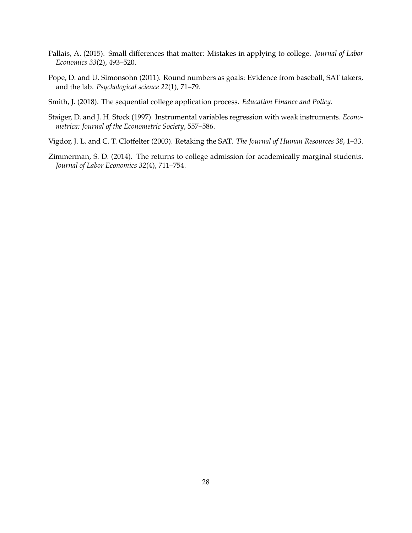- <span id="page-29-3"></span>Pallais, A. (2015). Small differences that matter: Mistakes in applying to college. *Journal of Labor Economics 33*(2), 493–520.
- <span id="page-29-1"></span>Pope, D. and U. Simonsohn (2011). Round numbers as goals: Evidence from baseball, SAT takers, and the lab. *Psychological science 22*(1), 71–79.
- <span id="page-29-4"></span>Smith, J. (2018). The sequential college application process. *Education Finance and Policy*.
- <span id="page-29-5"></span>Staiger, D. and J. H. Stock (1997). Instrumental variables regression with weak instruments. *Econometrica: Journal of the Econometric Society*, 557–586.
- <span id="page-29-0"></span>Vigdor, J. L. and C. T. Clotfelter (2003). Retaking the SAT. *The Journal of Human Resources 38*, 1–33.
- <span id="page-29-2"></span>Zimmerman, S. D. (2014). The returns to college admission for academically marginal students. *Journal of Labor Economics 32*(4), 711–754.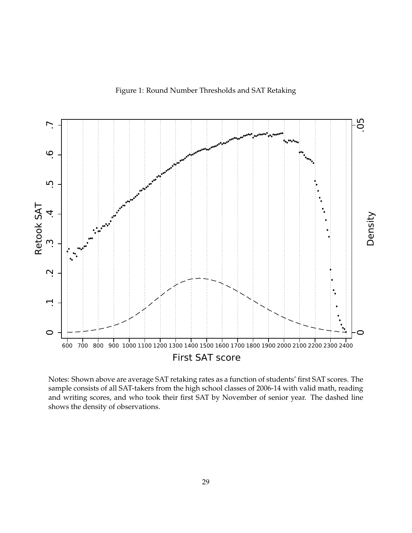Figure 1: Round Number Thresholds and SAT Retaking

<span id="page-30-0"></span>

Notes: Shown above are average SAT retaking rates as a function of students' first SAT scores. The sample consists of all SAT-takers from the high school classes of 2006-14 with valid math, reading and writing scores, and who took their first SAT by November of senior year. The dashed line shows the density of observations.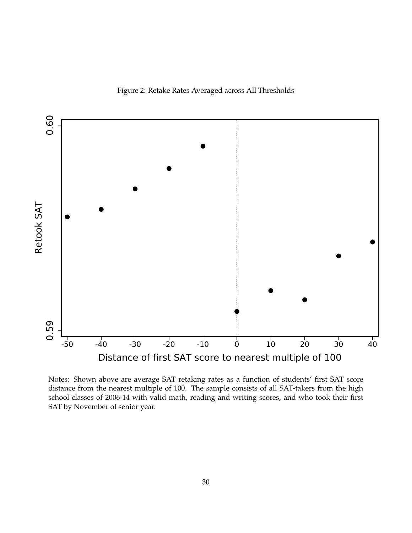Figure 2: Retake Rates Averaged across All Thresholds

<span id="page-31-0"></span>

Notes: Shown above are average SAT retaking rates as a function of students' first SAT score distance from the nearest multiple of 100. The sample consists of all SAT-takers from the high school classes of 2006-14 with valid math, reading and writing scores, and who took their first SAT by November of senior year.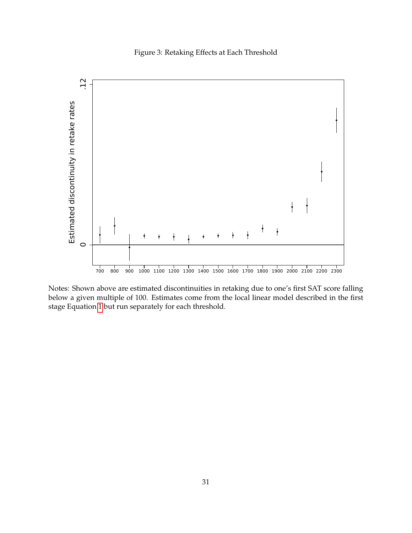Figure 3: Retaking Effects at Each Threshold

<span id="page-32-0"></span>

Notes: Shown above are estimated discontinuities in retaking due to one's first SAT score falling below a given multiple of 100. Estimates come from the local linear model described in the first stage Equation [1](#page-11-2) but run separately for each threshold.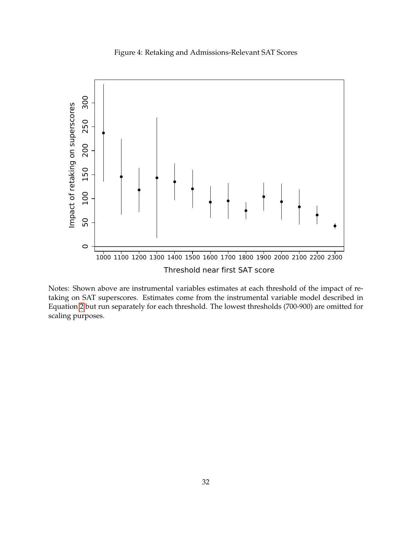Figure 4: Retaking and Admissions-Relevant SAT Scores

<span id="page-33-0"></span>

Notes: Shown above are instrumental variables estimates at each threshold of the impact of retaking on SAT superscores. Estimates come from the instrumental variable model described in Equation [2](#page-12-2) but run separately for each threshold. The lowest thresholds (700-900) are omitted for scaling purposes.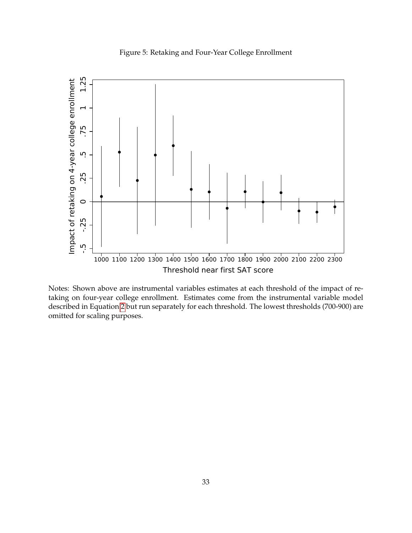Figure 5: Retaking and Four-Year College Enrollment

<span id="page-34-0"></span>

Notes: Shown above are instrumental variables estimates at each threshold of the impact of retaking on four-year college enrollment. Estimates come from the instrumental variable model described in Equation [2](#page-12-2) but run separately for each threshold. The lowest thresholds (700-900) are omitted for scaling purposes.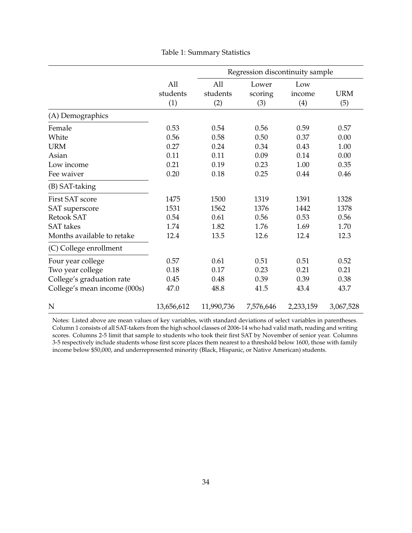<span id="page-35-0"></span>

|                                                                                                                        |                                      |                                      |                                      | Regression discontinuity sample      |                                      |
|------------------------------------------------------------------------------------------------------------------------|--------------------------------------|--------------------------------------|--------------------------------------|--------------------------------------|--------------------------------------|
|                                                                                                                        | All<br>students<br>(1)               | All<br>students<br>(2)               | Lower<br>scoring<br>(3)              | Low<br>income<br>(4)                 | <b>URM</b><br>(5)                    |
| (A) Demographics                                                                                                       |                                      |                                      |                                      |                                      |                                      |
| Female<br>White<br><b>URM</b>                                                                                          | 0.53<br>0.56<br>0.27                 | 0.54<br>0.58<br>0.24                 | 0.56<br>0.50<br>0.34                 | 0.59<br>0.37<br>0.43                 | 0.57<br>0.00<br>1.00                 |
| Asian<br>Low income<br>Fee waiver                                                                                      | 0.11<br>0.21<br>0.20                 | 0.11<br>0.19<br>0.18                 | 0.09<br>0.23<br>0.25                 | 0.14<br>1.00<br>0.44                 | 0.00<br>0.35<br>0.46                 |
| (B) SAT-taking                                                                                                         |                                      |                                      |                                      |                                      |                                      |
| <b>First SAT score</b><br><b>SAT</b> superscore<br><b>Retook SAT</b><br><b>SAT</b> takes<br>Months available to retake | 1475<br>1531<br>0.54<br>1.74<br>12.4 | 1500<br>1562<br>0.61<br>1.82<br>13.5 | 1319<br>1376<br>0.56<br>1.76<br>12.6 | 1391<br>1442<br>0.53<br>1.69<br>12.4 | 1328<br>1378<br>0.56<br>1.70<br>12.3 |
| (C) College enrollment                                                                                                 |                                      |                                      |                                      |                                      |                                      |
| Four year college<br>Two year college<br>College's graduation rate<br>College's mean income (000s)                     | 0.57<br>0.18<br>0.45<br>47.0         | 0.61<br>0.17<br>0.48<br>48.8         | 0.51<br>0.23<br>0.39<br>41.5         | 0.51<br>0.21<br>0.39<br>43.4         | 0.52<br>0.21<br>0.38<br>43.7         |
| N                                                                                                                      | 13,656,612                           | 11,990,736                           | 7,576,646                            | 2,233,159                            | 3,067,528                            |

Table 1: Summary Statistics

Notes: Listed above are mean values of key variables, with standard deviations of select variables in parentheses. Column 1 consists of all SAT-takers from the high school classes of 2006-14 who had valid math, reading and writing scores. Columns 2-5 limit that sample to students who took their first SAT by November of senior year. Columns 3-5 respectively include students whose first score places them nearest to a threshold below 1600, those with family income below \$50,000, and underrepresented minority (Black, Hispanic, or Native American) students.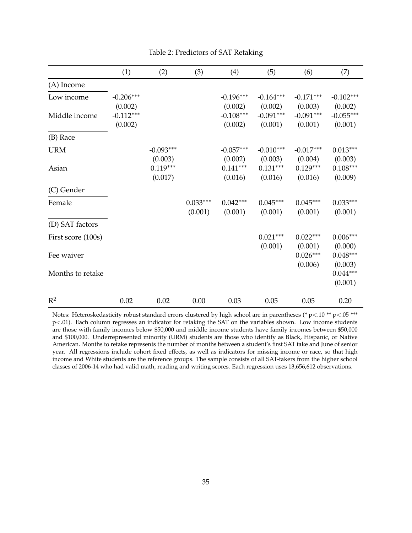<span id="page-36-0"></span>

|                    | (1)         | (2)         | (3)        | (4)         | (5)         | (6)         | (7)         |
|--------------------|-------------|-------------|------------|-------------|-------------|-------------|-------------|
| (A) Income         |             |             |            |             |             |             |             |
| Low income         | $-0.206***$ |             |            | $-0.196***$ | $-0.164***$ | $-0.171***$ | $-0.102***$ |
|                    | (0.002)     |             |            | (0.002)     | (0.002)     | (0.003)     | (0.002)     |
| Middle income      | $-0.112***$ |             |            | $-0.108***$ | $-0.091***$ | $-0.091***$ | $-0.055***$ |
|                    | (0.002)     |             |            | (0.002)     | (0.001)     | (0.001)     | (0.001)     |
| (B) Race           |             |             |            |             |             |             |             |
| <b>URM</b>         |             | $-0.093***$ |            | $-0.057***$ | $-0.010***$ | $-0.017***$ | $0.013***$  |
|                    |             | (0.003)     |            | (0.002)     | (0.003)     | (0.004)     | (0.003)     |
| Asian              |             | $0.119***$  |            | $0.141***$  | $0.131***$  | $0.129***$  | $0.108***$  |
|                    |             | (0.017)     |            | (0.016)     | (0.016)     | (0.016)     | (0.009)     |
| (C) Gender         |             |             |            |             |             |             |             |
| Female             |             |             | $0.033***$ | $0.042***$  | $0.045***$  | $0.045***$  | $0.033***$  |
|                    |             |             | (0.001)    | (0.001)     | (0.001)     | (0.001)     | (0.001)     |
| (D) SAT factors    |             |             |            |             |             |             |             |
| First score (100s) |             |             |            |             | $0.021***$  | $0.022***$  | $0.006***$  |
|                    |             |             |            |             | (0.001)     | (0.001)     | (0.000)     |
| Fee waiver         |             |             |            |             |             | $0.026***$  | $0.048***$  |
|                    |             |             |            |             |             | (0.006)     | (0.003)     |
| Months to retake   |             |             |            |             |             |             | $0.044***$  |
|                    |             |             |            |             |             |             | (0.001)     |
| $\mathbb{R}^2$     | 0.02        | 0.02        | 0.00       | 0.03        | 0.05        | 0.05        | 0.20        |

#### Table 2: Predictors of SAT Retaking

Notes: Heteroskedasticity robust standard errors clustered by high school are in parentheses (\* p<.10 \*\* p<.05 \*\*\* p<.01). Each column regresses an indicator for retaking the SAT on the variables shown. Low income students are those with family incomes below \$50,000 and middle income students have family incomes between \$50,000 and \$100,000. Underrepresented minority (URM) students are those who identify as Black, Hispanic, or Native American. Months to retake represents the number of months between a student's first SAT take and June of senior year. All regressions include cohort fixed effects, as well as indicators for missing income or race, so that high income and White students are the reference groups. The sample consists of all SAT-takers from the higher school classes of 2006-14 who had valid math, reading and writing scores. Each regression uses 13,656,612 observations.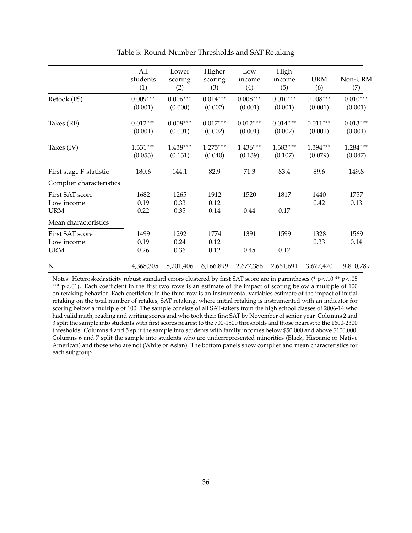<span id="page-37-0"></span>

|                                             | All<br>students<br>(1) | Lower<br>scoring<br>(2) | Higher<br>scoring<br>(3) | Low<br>income<br>(4)  | High<br>income<br>(5) | <b>URM</b><br>(6)     | Non-URM<br>(7)             |
|---------------------------------------------|------------------------|-------------------------|--------------------------|-----------------------|-----------------------|-----------------------|----------------------------|
| Retook (FS)                                 | $0.009***$<br>(0.001)  | $0.006***$<br>(0.000)   | $0.014***$<br>(0.002)    | $0.008***$<br>(0.001) | $0.010***$<br>(0.001) | $0.008***$<br>(0.001) | $0.010^{***}\,$<br>(0.001) |
| Takes (RF)                                  | $0.012***$<br>(0.001)  | $0.008***$<br>(0.001)   | $0.017***$<br>(0.002)    | $0.012***$<br>(0.001) | $0.014***$<br>(0.002) | $0.011***$<br>(0.001) | $0.013***$<br>(0.001)      |
| Takes (IV)                                  | $1.331***$<br>(0.053)  | $1.438***$<br>(0.131)   | $1.275***$<br>(0.040)    | $1.436***$<br>(0.139) | $1.383***$<br>(0.107) | 1.394***<br>(0.079)   | $1.284***$<br>(0.047)      |
| First stage F-statistic                     | 180.6                  | 144.1                   | 82.9                     | 71.3                  | 83.4                  | 89.6                  | 149.8                      |
| Complier characteristics                    |                        |                         |                          |                       |                       |                       |                            |
| First SAT score<br>Low income               | 1682<br>0.19           | 1265<br>0.33            | 1912<br>0.12             | 1520                  | 1817                  | 1440<br>0.42          | 1757<br>0.13               |
| <b>URM</b>                                  | 0.22                   | 0.35                    | 0.14                     | 0.44                  | 0.17                  |                       |                            |
| Mean characteristics                        |                        |                         |                          |                       |                       |                       |                            |
| First SAT score<br>Low income<br><b>URM</b> | 1499<br>0.19<br>0.26   | 1292<br>0.24<br>0.36    | 1774<br>0.12<br>0.12     | 1391<br>0.45          | 1599<br>0.12          | 1328<br>0.33          | 1569<br>0.14               |
| N                                           | 14,368,305             | 8,201,406               | 6,166,899                | 2,677,386             | 2,661,691             | 3,677,470             | 9,810,789                  |

Table 3: Round-Number Thresholds and SAT Retaking

Notes: Heteroskedasticity robust standard errors clustered by first SAT score are in parentheses (\* p<.10 \*\* p<.05 \*\*\* p<.01). Each coefficient in the first two rows is an estimate of the impact of scoring below a multiple of 100 on retaking behavior. Each coefficient in the third row is an instrumental variables estimate of the impact of initial retaking on the total number of retakes, SAT retaking, where initial retaking is instrumented with an indicator for scoring below a multiple of 100. The sample consists of all SAT-takers from the high school classes of 2006-14 who had valid math, reading and writing scores and who took their first SAT by November of senior year. Columns 2 and 3 split the sample into students with first scores nearest to the 700-1500 thresholds and those nearest to the 1600-2300 thresholds. Columns 4 and 5 split the sample into students with family incomes below \$50,000 and above \$100,000. Columns 6 and 7 split the sample into students who are underrepresented minorities (Black, Hispanic or Native American) and those who are not (White or Asian). The bottom panels show complier and mean characteristics for each subgroup.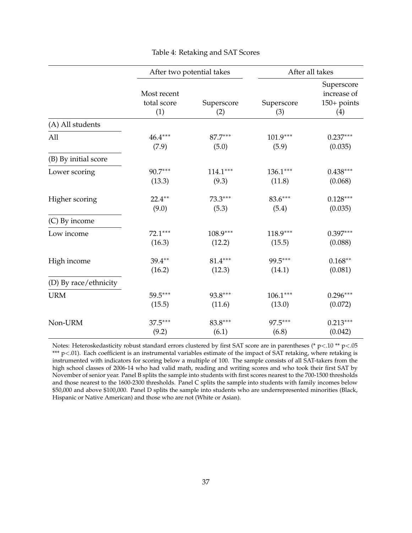<span id="page-38-0"></span>

|                       |                                   | After two potential takes |                   | After all takes                                   |
|-----------------------|-----------------------------------|---------------------------|-------------------|---------------------------------------------------|
|                       | Most recent<br>total score<br>(1) | Superscore<br>(2)         | Superscore<br>(3) | Superscore<br>increase of<br>$150+$ points<br>(4) |
| (A) All students      |                                   |                           |                   |                                                   |
| All                   | $46.4***$                         | 87.7***                   | $101.9***$        | $0.237***$                                        |
|                       | (7.9)                             | (5.0)                     | (5.9)             | (0.035)                                           |
| (B) By initial score  |                                   |                           |                   |                                                   |
| Lower scoring         | 90.7***                           | $114.1***$                | $136.1***$        | $0.438***$                                        |
|                       | (13.3)                            | (9.3)                     | (11.8)            | (0.068)                                           |
| Higher scoring        | $22.4***$                         | $73.3***$                 | $83.6***$         | $0.128***$                                        |
|                       | (9.0)                             | (5.3)                     | (5.4)             | (0.035)                                           |
| (C) By income         |                                   |                           |                   |                                                   |
| Low income            | 72.1***                           | $108.9***$                | 118.9***          | $0.397***$                                        |
|                       | (16.3)                            | (12.2)                    | (15.5)            | (0.088)                                           |
| High income           | $39.4***$                         | $81.4***$                 | 99.5***           | $0.168**$                                         |
|                       | (16.2)                            | (12.3)                    | (14.1)            | (0.081)                                           |
| (D) By race/ethnicity |                                   |                           |                   |                                                   |
| <b>URM</b>            | 59.5***                           | 93.8***                   | $106.1***$        | $0.296***$                                        |
|                       | (15.5)                            | (11.6)                    | (13.0)            | (0.072)                                           |
| Non-URM               | $37.5***$                         | 83.8***                   | 97.5***           | $0.213***$                                        |
|                       | (9.2)                             | (6.1)                     | (6.8)             | (0.042)                                           |

# Table 4: Retaking and SAT Scores

Notes: Heteroskedasticity robust standard errors clustered by first SAT score are in parentheses (\* p<.10 \*\* p<.05 \*\*\* p<.01). Each coefficient is an instrumental variables estimate of the impact of SAT retaking, where retaking is instrumented with indicators for scoring below a multiple of 100. The sample consists of all SAT-takers from the high school classes of 2006-14 who had valid math, reading and writing scores and who took their first SAT by November of senior year. Panel B splits the sample into students with first scores nearest to the 700-1500 thresholds and those nearest to the 1600-2300 thresholds. Panel C splits the sample into students with family incomes below \$50,000 and above \$100,000. Panel D splits the sample into students who are underrepresented minorities (Black, Hispanic or Native American) and those who are not (White or Asian).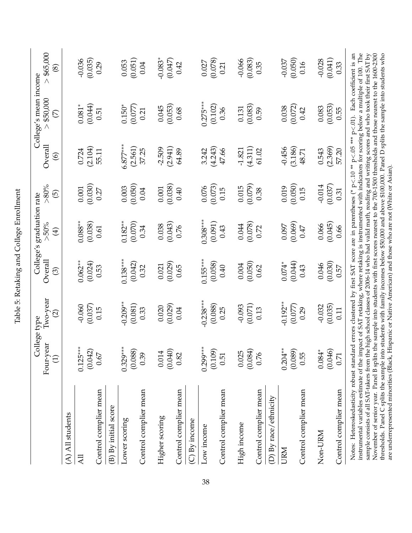<span id="page-39-0"></span>

|                                                                                                                                                                                                                                                                                                                                                                                                                                                                                                                                                                                                                                                                                                                                                                                                                                                                                                                     | College type                 |                                   |                       | College's graduation rate |                      |                           | College's mean income |                             |
|---------------------------------------------------------------------------------------------------------------------------------------------------------------------------------------------------------------------------------------------------------------------------------------------------------------------------------------------------------------------------------------------------------------------------------------------------------------------------------------------------------------------------------------------------------------------------------------------------------------------------------------------------------------------------------------------------------------------------------------------------------------------------------------------------------------------------------------------------------------------------------------------------------------------|------------------------------|-----------------------------------|-----------------------|---------------------------|----------------------|---------------------------|-----------------------|-----------------------------|
|                                                                                                                                                                                                                                                                                                                                                                                                                                                                                                                                                                                                                                                                                                                                                                                                                                                                                                                     | Four-year<br>$\widehat{\Xi}$ | $I$ wo-year<br>$\widehat{\varpi}$ | Overall<br>$\odot$    | $>50\%$<br>$\bigoplus$    | $> 80\%$<br>$\odot$  | Overall<br>$\circledcirc$ | \$50,000<br>E         | > \$65,000<br>$\circledast$ |
| (A) All students                                                                                                                                                                                                                                                                                                                                                                                                                                                                                                                                                                                                                                                                                                                                                                                                                                                                                                    |                              |                                   |                       |                           |                      |                           |                       |                             |
| <b>All</b>                                                                                                                                                                                                                                                                                                                                                                                                                                                                                                                                                                                                                                                                                                                                                                                                                                                                                                          | $0.125***$<br>(0.042)        | $-0.060$<br>(0.037)               | $0.062***$<br>(0.024) | $0.088***$<br>(0.038)     | (0.030)<br>$0.001\,$ | (2.104)<br>0.724          | (0.044)<br>$0.081*$   | (0.035)<br>$-0.036$         |
| Control complier mean                                                                                                                                                                                                                                                                                                                                                                                                                                                                                                                                                                                                                                                                                                                                                                                                                                                                                               | 0.67                         | 0.15                              | 0.53                  | 0.61                      | 0.27                 | 55.11                     | 0.51                  | 0.29                        |
| (B) By initial score                                                                                                                                                                                                                                                                                                                                                                                                                                                                                                                                                                                                                                                                                                                                                                                                                                                                                                |                              |                                   |                       |                           |                      |                           |                       |                             |
| Lower scoring                                                                                                                                                                                                                                                                                                                                                                                                                                                                                                                                                                                                                                                                                                                                                                                                                                                                                                       | $0.329***$<br>(0.088)        | $-0.209**$<br>(0.081)             | $0.138***$<br>(0.042) | $0.182**$<br>(0.070)      | (0.050)<br>0.003     | $6.877***$<br>(2.561)     | $0.150*$<br>(0.077)   | (0.051)<br>0.053            |
| Control complier mean                                                                                                                                                                                                                                                                                                                                                                                                                                                                                                                                                                                                                                                                                                                                                                                                                                                                                               | 0.39                         | 0.33                              | 0.32                  | 0.34                      | 0.04                 | 37.25                     | 0.21                  | 0.04                        |
| Higher scoring                                                                                                                                                                                                                                                                                                                                                                                                                                                                                                                                                                                                                                                                                                                                                                                                                                                                                                      | (0.040)<br>0.014             | (0.029)<br>0.020                  | (0.029)<br>0.021      | (0.043)<br>0.038          | (0.038)<br>0.001     | (2.941)<br>$-2.509$       | (0.053)<br>0.045      | $-0.083*$<br>(0.047)        |
| Control complier mean                                                                                                                                                                                                                                                                                                                                                                                                                                                                                                                                                                                                                                                                                                                                                                                                                                                                                               | 0.82                         | 0.04                              | 0.65                  | 0.76                      | 0.40                 | 64.89                     | 0.68                  | 0.42                        |
| $(C)$ By income                                                                                                                                                                                                                                                                                                                                                                                                                                                                                                                                                                                                                                                                                                                                                                                                                                                                                                     |                              |                                   |                       |                           |                      |                           |                       |                             |
| Low income                                                                                                                                                                                                                                                                                                                                                                                                                                                                                                                                                                                                                                                                                                                                                                                                                                                                                                          | $0.299***$<br>(0.109)        | $-0.238***$<br>(0.088)            | $0.155***$<br>(0.058) | $0.308***$<br>(0.091)     | (0.073)<br>0.076     | (4.243)<br>3.242          | $0.275***$<br>(0.102) | (0.078)<br>0.027            |
| Control complier mean                                                                                                                                                                                                                                                                                                                                                                                                                                                                                                                                                                                                                                                                                                                                                                                                                                                                                               | 0.51                         | 0.25                              | 0.40                  | 0.43                      | 0.15                 | 47.66                     | 0.36                  | 0.21                        |
| High income                                                                                                                                                                                                                                                                                                                                                                                                                                                                                                                                                                                                                                                                                                                                                                                                                                                                                                         | (0.084)<br>0.025             | (0.071)<br>$-0.093$               | (0.050)<br>0.004      | (0.078)<br>0.044          | (0.079)<br>0.015     | (4.311)<br>$-1.821$       | (0.083)<br>0.131      | (0.083)<br>$-0.066$         |
| Control complier mean                                                                                                                                                                                                                                                                                                                                                                                                                                                                                                                                                                                                                                                                                                                                                                                                                                                                                               | 0.76                         | 0.13                              | 0.62                  | 0.72                      | 0.38                 | 61.02                     | 0.59                  | 0.35                        |
| (D) By race/ethnicity                                                                                                                                                                                                                                                                                                                                                                                                                                                                                                                                                                                                                                                                                                                                                                                                                                                                                               |                              |                                   |                       |                           |                      |                           |                       |                             |
| URM                                                                                                                                                                                                                                                                                                                                                                                                                                                                                                                                                                                                                                                                                                                                                                                                                                                                                                                 | $0.204**$<br>(0.089)         | $-0.192**$<br>(0.077)             | (0.044)<br>$0.074*$   | (0.069)<br>0.097          | (0.050)<br>0.019     | (3.186)<br>$-0.456$       | (0.072)<br>0.038      | (0.050)<br>$-0.037$         |
| Control complier mean                                                                                                                                                                                                                                                                                                                                                                                                                                                                                                                                                                                                                                                                                                                                                                                                                                                                                               | 0.55                         | 0.29                              | 0.43                  | C#7                       | 0.15                 | 48.71                     | 0.42                  | 0.16                        |
| Non-URM                                                                                                                                                                                                                                                                                                                                                                                                                                                                                                                                                                                                                                                                                                                                                                                                                                                                                                             | $0.084*$                     | $-0.032$                          | 0.046                 | 0.066                     | $-0.014$             | 0.543                     | 0.083                 | $-0.028$                    |
|                                                                                                                                                                                                                                                                                                                                                                                                                                                                                                                                                                                                                                                                                                                                                                                                                                                                                                                     | (0.046)                      | (0.035)                           | (0.030)               | (0.045)                   | (0.037)              | (2.369)                   | (0.053)               | (0.041)                     |
| Control complier mean                                                                                                                                                                                                                                                                                                                                                                                                                                                                                                                                                                                                                                                                                                                                                                                                                                                                                               | 0.71                         | 0.11                              | 0.57                  | 0.66                      | 0.31                 | 57.20                     | 0.55                  | 0.33                        |
| instrumental variables estimate of the impact of SAT retaking, where retaking is instrumented with indicators for scoring below a multiple of 100. The<br>Notes: Heteroskedasticity robust standard errors clustered by first SAT score are in parentheses (* p<.10 ** p<.105 *** p<.01). Each coefficient is an<br>sample consists of all SAT-takers from the high school classes of 2006-14 who had valid math, reading and writing scores and who took their first SAT by<br>November of senior year. Panel B splits the sample into students with first scores nearest to the 700-1500 thresholds and those nearest to the 1600-2300<br>thresholds. Panel C splits the sample into students with family incomes below \$50,000 and above \$100,000. Panel D splits the sample into students who<br>are underrepresented minorities (Black, Hispanic or Native American) and those who are not (White or Asian). |                              |                                   |                       |                           |                      |                           |                       |                             |

Table 5: Retaking and College Enrollment Table 5: Retaking and College Enrollment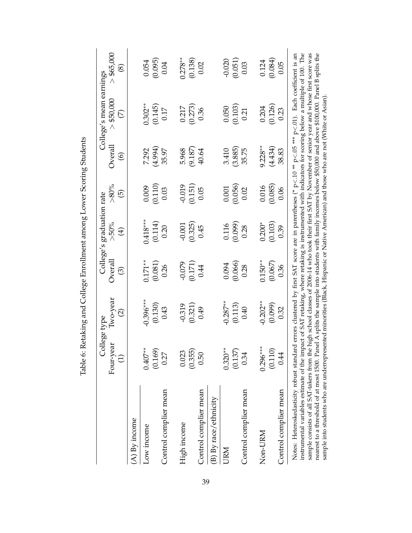<span id="page-40-0"></span>

|                                                                                                                                                                                                                                                                                                                                                                                                                                                                                                                                                                                                                                                                                                                                                                                  | Four-year<br>$\overline{c}$ | lwo-year<br>$\widehat{\infty}$<br>College type | Overall<br>$\odot$   | College's graduation rate<br>$>50\%$<br>$\bigoplus$ | ${\rm >}80\%$<br>$\odot$ | Overall<br>$\circledcirc$ | College's mean earnings<br>> \$50,000<br>$\overline{\mathcal{C}}$ | > \$65,000<br>$\circledast$ |
|----------------------------------------------------------------------------------------------------------------------------------------------------------------------------------------------------------------------------------------------------------------------------------------------------------------------------------------------------------------------------------------------------------------------------------------------------------------------------------------------------------------------------------------------------------------------------------------------------------------------------------------------------------------------------------------------------------------------------------------------------------------------------------|-----------------------------|------------------------------------------------|----------------------|-----------------------------------------------------|--------------------------|---------------------------|-------------------------------------------------------------------|-----------------------------|
| $(A)$ By income                                                                                                                                                                                                                                                                                                                                                                                                                                                                                                                                                                                                                                                                                                                                                                  |                             |                                                |                      |                                                     |                          |                           |                                                                   |                             |
| Low income                                                                                                                                                                                                                                                                                                                                                                                                                                                                                                                                                                                                                                                                                                                                                                       | $0.407**$<br>(0.169)        | $-0.396***$<br>(0.130)                         | $0.171**$<br>(0.081) | $0.418***$<br>(0.114)                               | (0.110)<br>0.009         | (4.994)<br>7.292          | $0.302***$<br>(0.145)                                             | (0.095)<br>0.054            |
| Control complier mean                                                                                                                                                                                                                                                                                                                                                                                                                                                                                                                                                                                                                                                                                                                                                            | 0.27                        | 0.43                                           | 0.26                 | 0.20                                                | 0.03                     | 35.97                     | 0.17                                                              | 0.04                        |
| High income                                                                                                                                                                                                                                                                                                                                                                                                                                                                                                                                                                                                                                                                                                                                                                      | 0.023                       | $-0.319$                                       | $-0.079$             | $-0.001$                                            | $-0.019$                 | 5.968                     | 0.217                                                             | $0.278***$                  |
| Control complier mean                                                                                                                                                                                                                                                                                                                                                                                                                                                                                                                                                                                                                                                                                                                                                            | (0.355)<br>0.50             | (0.321)<br>0.49                                | (0.171)<br>0.44      | (0.325)<br>0.45                                     | (0.151)<br>0.05          | (9.187)<br>40.64          | (0.273)<br>0.36                                                   | (0.138)<br>0.02             |
| (B) By race/ethnicity                                                                                                                                                                                                                                                                                                                                                                                                                                                                                                                                                                                                                                                                                                                                                            |                             |                                                |                      |                                                     |                          |                           |                                                                   |                             |
| <b>URM</b>                                                                                                                                                                                                                                                                                                                                                                                                                                                                                                                                                                                                                                                                                                                                                                       | $0.320***$                  | $-0.287***$                                    | 0.094                | 0.116                                               | 0.001                    | 3.410                     | 0.050                                                             | $-0.020$                    |
|                                                                                                                                                                                                                                                                                                                                                                                                                                                                                                                                                                                                                                                                                                                                                                                  | (0.137)                     | (0.113)                                        | (0.066)              | (0.099)                                             | (0.056)                  | (3.885)                   | (0.103)                                                           | (0.051)                     |
| Control complier mean                                                                                                                                                                                                                                                                                                                                                                                                                                                                                                                                                                                                                                                                                                                                                            | 0.34                        | 0.40                                           | 0.28                 | 0.28                                                | 0.02                     | 35.75                     | 0.21                                                              | 0.03                        |
| Non-URM                                                                                                                                                                                                                                                                                                                                                                                                                                                                                                                                                                                                                                                                                                                                                                          | $0.296***$                  | $-0.202**$                                     | $0.150***$           | $0.200*$                                            | 0.016                    | $9.228**$                 | 0.204                                                             | 0.124                       |
| Control complier mean                                                                                                                                                                                                                                                                                                                                                                                                                                                                                                                                                                                                                                                                                                                                                            | (0.110)<br>0.44             | (0.099)<br>0.32                                | (0.067)<br>0.36      | (0.103)<br>0.39                                     | (0.085)<br>0.06          | (4.434)<br>38.83          | (0.126)<br>0.23                                                   | (0.084)<br>0.05             |
| Notes: Heteroskedasticity robust standard errors clustered by first SAT score are in parentheses (* p<.10 ** p<.05 *** p<.01). Each coefficient is an<br>instrumental variables estimate of the impact of SAT retaking, where retaking is instrumented with indicators for scoring below a multiple of 100. The<br>sample consists of all SAT-takers from the high school classes of 2006-14 who took their first SAT by November of senior year and whose first score was<br>nearest to a threshold of at most 1500. Panel A splits the sample into students with family incomes below \$50,000 and above \$100,000. Panel B splits the<br>sample into students who are underrepresented minorities (Black, Hispanic or Native American) and those who are not (White or Asian) |                             |                                                |                      |                                                     |                          |                           |                                                                   |                             |

Table 6: Retaking and College Enrollment among Lower Scoring Students Table 6: Retaking and College Enrollment among Lower Scoring Students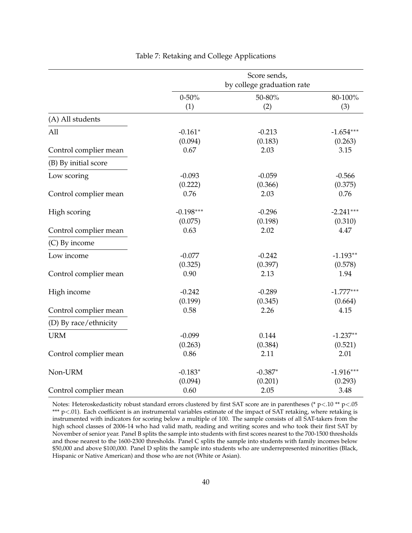<span id="page-41-0"></span>

|                       |                        | Score sends,<br>by college graduation rate |                        |
|-----------------------|------------------------|--------------------------------------------|------------------------|
|                       | $0 - 50%$<br>(1)       | 50-80%<br>(2)                              | 80-100%<br>(3)         |
| (A) All students      |                        |                                            |                        |
| All                   | $-0.161*$<br>(0.094)   | $-0.213$<br>(0.183)                        | $-1.654***$<br>(0.263) |
| Control complier mean | 0.67                   | 2.03                                       | 3.15                   |
| (B) By initial score  |                        |                                            |                        |
| Low scoring           | $-0.093$<br>(0.222)    | $-0.059$<br>(0.366)                        | $-0.566$<br>(0.375)    |
| Control complier mean | 0.76                   | 2.03                                       | 0.76                   |
| High scoring          | $-0.198***$<br>(0.075) | $-0.296$<br>(0.198)                        | $-2.241***$<br>(0.310) |
| Control complier mean | 0.63                   | 2.02                                       | 4.47                   |
| (C) By income         |                        |                                            |                        |
| Low income            | $-0.077$               | $-0.242$                                   | $-1.193**$             |
| Control complier mean | (0.325)<br>0.90        | (0.397)<br>2.13                            | (0.578)<br>1.94        |
| High income           | $-0.242$<br>(0.199)    | $-0.289$<br>(0.345)                        | $-1.777***$<br>(0.664) |
| Control complier mean | 0.58                   | 2.26                                       | 4.15                   |
| (D) By race/ethnicity |                        |                                            |                        |
| <b>URM</b>            | $-0.099$<br>(0.263)    | 0.144<br>(0.384)                           | $-1.237**$<br>(0.521)  |
| Control complier mean | 0.86                   | 2.11                                       | 2.01                   |
| Non-URM               | $-0.183*$<br>(0.094)   | $-0.387*$<br>(0.201)                       | $-1.916***$<br>(0.293) |
| Control complier mean | 0.60                   | 2.05                                       | 3.48                   |

### Table 7: Retaking and College Applications

Notes: Heteroskedasticity robust standard errors clustered by first SAT score are in parentheses (\* p<.10 \*\* p<.05 \*\*\* p<.01). Each coefficient is an instrumental variables estimate of the impact of SAT retaking, where retaking is instrumented with indicators for scoring below a multiple of 100. The sample consists of all SAT-takers from the high school classes of 2006-14 who had valid math, reading and writing scores and who took their first SAT by November of senior year. Panel B splits the sample into students with first scores nearest to the 700-1500 thresholds and those nearest to the 1600-2300 thresholds. Panel C splits the sample into students with family incomes below \$50,000 and above \$100,000. Panel D splits the sample into students who are underrepresented minorities (Black, Hispanic or Native American) and those who are not (White or Asian).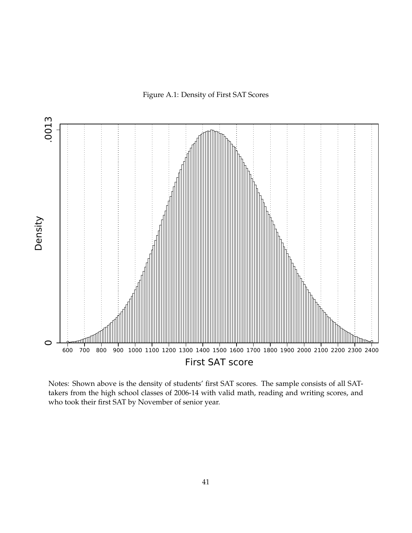Figure A.1: Density of First SAT Scores

<span id="page-42-0"></span>

Notes: Shown above is the density of students' first SAT scores. The sample consists of all SATtakers from the high school classes of 2006-14 with valid math, reading and writing scores, and who took their first SAT by November of senior year.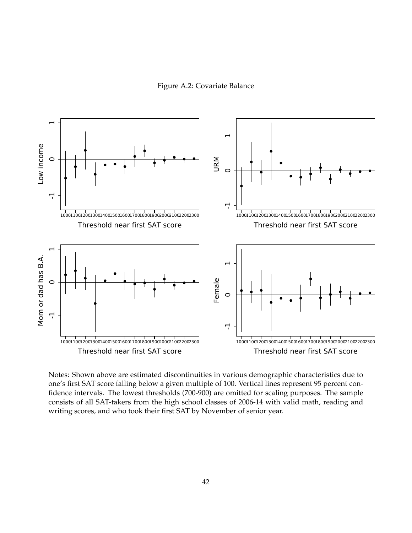Figure A.2: Covariate Balance

<span id="page-43-0"></span>

Notes: Shown above are estimated discontinuities in various demographic characteristics due to one's first SAT score falling below a given multiple of 100. Vertical lines represent 95 percent confidence intervals. The lowest thresholds (700-900) are omitted for scaling purposes. The sample consists of all SAT-takers from the high school classes of 2006-14 with valid math, reading and writing scores, and who took their first SAT by November of senior year.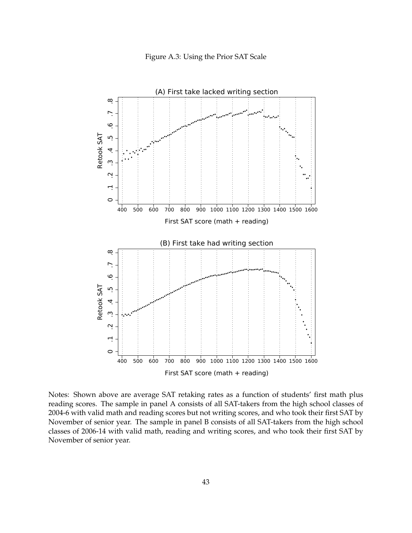

<span id="page-44-0"></span>

Notes: Shown above are average SAT retaking rates as a function of students' first math plus reading scores. The sample in panel A consists of all SAT-takers from the high school classes of 2004-6 with valid math and reading scores but not writing scores, and who took their first SAT by November of senior year. The sample in panel B consists of all SAT-takers from the high school classes of 2006-14 with valid math, reading and writing scores, and who took their first SAT by November of senior year.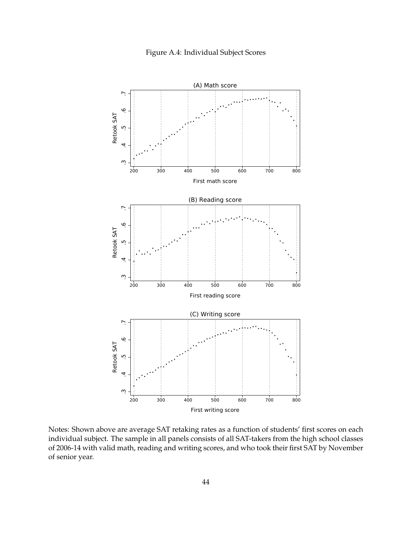

<span id="page-45-0"></span>

Notes: Shown above are average SAT retaking rates as a function of students' first scores on each individual subject. The sample in all panels consists of all SAT-takers from the high school classes of 2006-14 with valid math, reading and writing scores, and who took their first SAT by November of senior year.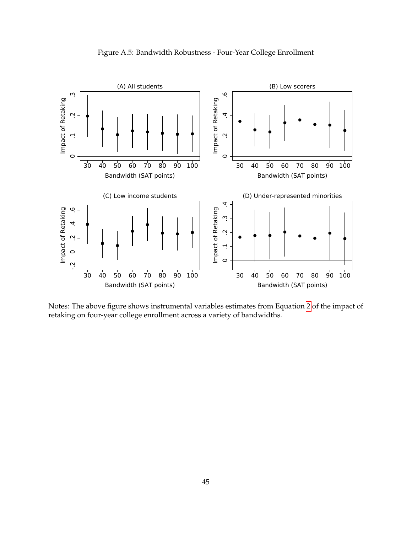<span id="page-46-0"></span>

Figure A.5: Bandwidth Robustness - Four-Year College Enrollment

Notes: The above figure shows instrumental variables estimates from Equation [2](#page-12-2) of the impact of retaking on four-year college enrollment across a variety of bandwidths.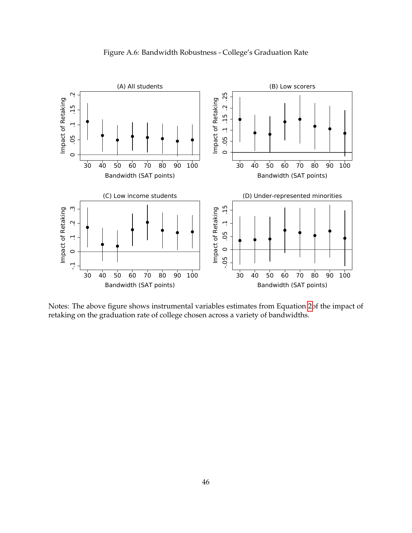

<span id="page-47-0"></span>

Notes: The above figure shows instrumental variables estimates from Equation [2o](#page-12-2)f the impact of retaking on the graduation rate of college chosen across a variety of bandwidths.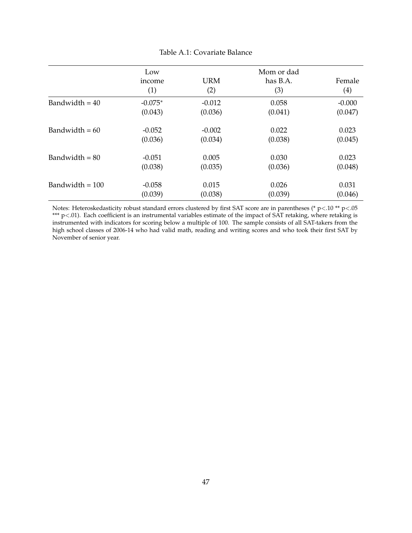<span id="page-48-0"></span>

|                   | Low       |            | Mom or dad |          |
|-------------------|-----------|------------|------------|----------|
|                   | income    | <b>URM</b> | has B.A.   | Female   |
|                   | (1)       | (2)        | (3)        | (4)      |
| Bandwidth $=$ 40  | $-0.075*$ | $-0.012$   | 0.058      | $-0.000$ |
|                   | (0.043)   | (0.036)    | (0.041)    | (0.047)  |
| Bandwidth = $60$  | $-0.052$  | $-0.002$   | 0.022      | 0.023    |
|                   | (0.036)   | (0.034)    | (0.038)    | (0.045)  |
| Bandwidth $= 80$  | $-0.051$  | 0.005      | 0.030      | 0.023    |
|                   | (0.038)   | (0.035)    | (0.036)    | (0.048)  |
| Bandwidth $= 100$ | $-0.058$  | 0.015      | 0.026      | 0.031    |
|                   | (0.039)   | (0.038)    | (0.039)    | (0.046)  |

### Table A.1: Covariate Balance

Notes: Heteroskedasticity robust standard errors clustered by first SAT score are in parentheses (\* p<.10 \*\* p<.05 \*\*\* p<.01). Each coefficient is an instrumental variables estimate of the impact of SAT retaking, where retaking is instrumented with indicators for scoring below a multiple of 100. The sample consists of all SAT-takers from the high school classes of 2006-14 who had valid math, reading and writing scores and who took their first SAT by November of senior year.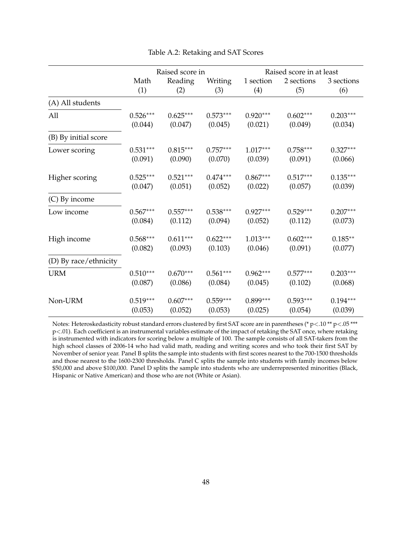<span id="page-49-0"></span>

|                       |            | Raised score in |            |            | Raised score in at least |            |
|-----------------------|------------|-----------------|------------|------------|--------------------------|------------|
|                       | Math       | Reading         | Writing    | 1 section  | 2 sections               | 3 sections |
|                       | (1)        | (2)             | (3)        | (4)        | (5)                      | (6)        |
| (A) All students      |            |                 |            |            |                          |            |
| All                   | $0.526***$ | $0.625***$      | $0.573***$ | $0.920***$ | $0.602***$               | $0.203***$ |
|                       | (0.044)    | (0.047)         | (0.045)    | (0.021)    | (0.049)                  | (0.034)    |
| (B) By initial score  |            |                 |            |            |                          |            |
| Lower scoring         | $0.531***$ | $0.815***$      | $0.757***$ | $1.017***$ | $0.758***$               | $0.327***$ |
|                       | (0.091)    | (0.090)         | (0.070)    | (0.039)    | (0.091)                  | (0.066)    |
| Higher scoring        | $0.525***$ | $0.521***$      | $0.474***$ | $0.867***$ | $0.517***$               | $0.135***$ |
|                       | (0.047)    | (0.051)         | (0.052)    | (0.022)    | (0.057)                  | (0.039)    |
| (C) By income         |            |                 |            |            |                          |            |
| Low income            | $0.567***$ | $0.557***$      | $0.538***$ | $0.927***$ | $0.529***$               | $0.207***$ |
|                       | (0.084)    | (0.112)         | (0.094)    | (0.052)    | (0.112)                  | (0.073)    |
| High income           | $0.568***$ | $0.611***$      | $0.622***$ | $1.013***$ | $0.602***$               | $0.185**$  |
|                       | (0.082)    | (0.093)         | (0.103)    | (0.046)    | (0.091)                  | (0.077)    |
| (D) By race/ethnicity |            |                 |            |            |                          |            |
| <b>URM</b>            | $0.510***$ | $0.670***$      | $0.561***$ | $0.962***$ | $0.577***$               | $0.203***$ |
|                       | (0.087)    | (0.086)         | (0.084)    | (0.045)    | (0.102)                  | (0.068)    |
| Non-URM               | $0.519***$ | $0.607***$      | $0.559***$ | $0.899***$ | $0.593***$               | $0.194***$ |
|                       | (0.053)    | (0.052)         | (0.053)    | (0.025)    | (0.054)                  | (0.039)    |

Table A.2: Retaking and SAT Scores

Notes: Heteroskedasticity robust standard errors clustered by first SAT score are in parentheses (\* p<.10 \*\* p<.05 \*\*\* p<.01). Each coefficient is an instrumental variables estimate of the impact of retaking the SAT once, where retaking is instrumented with indicators for scoring below a multiple of 100. The sample consists of all SAT-takers from the high school classes of 2006-14 who had valid math, reading and writing scores and who took their first SAT by November of senior year. Panel B splits the sample into students with first scores nearest to the 700-1500 thresholds and those nearest to the 1600-2300 thresholds. Panel C splits the sample into students with family incomes below \$50,000 and above \$100,000. Panel D splits the sample into students who are underrepresented minorities (Black, Hispanic or Native American) and those who are not (White or Asian).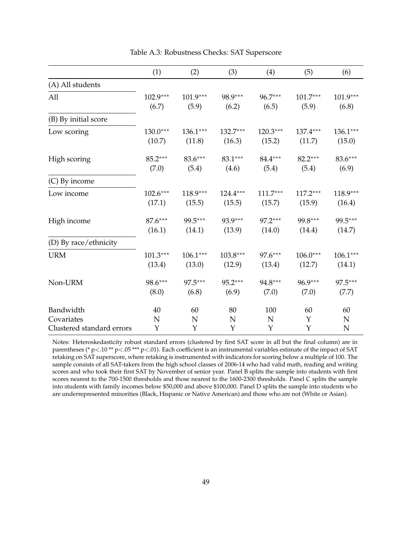<span id="page-50-0"></span>

|                           | (1)        | (2)        | (3)        | (4)        | (5)        | (6)         |
|---------------------------|------------|------------|------------|------------|------------|-------------|
| (A) All students          |            |            |            |            |            |             |
| All                       | $102.9***$ | $101.9***$ | 98.9***    | 96.7***    | $101.7***$ | $101.9***$  |
|                           | (6.7)      | (5.9)      | (6.2)      | (6.5)      | (5.9)      | (6.8)       |
| (B) By initial score      |            |            |            |            |            |             |
| Low scoring               | $130.0***$ | $136.1***$ | $132.7***$ | $120.3***$ | 137.4***   | $136.1***$  |
|                           | (10.7)     | (11.8)     | (16.3)     | (15.2)     | (11.7)     | (15.0)      |
| High scoring              | 85.2***    | 83.6***    | 83.1***    | 84.4***    | 82.2***    | 83.6***     |
|                           | (7.0)      | (5.4)      | (4.6)      | (5.4)      | (5.4)      | (6.9)       |
| (C) By income             |            |            |            |            |            |             |
| Low income                | $102.6***$ | $118.9***$ | $124.4***$ | $111.7***$ | $117.2***$ | 118.9***    |
|                           | (17.1)     | (15.5)     | (15.5)     | (15.7)     | (15.9)     | (16.4)      |
| High income               | 87.6***    | 99.5***    | 93.9***    | $97.2***$  | 99.8***    | 99.5***     |
|                           | (16.1)     | (14.1)     | (13.9)     | (14.0)     | (14.4)     | (14.7)      |
| (D) By race/ethnicity     |            |            |            |            |            |             |
| <b>URM</b>                | $101.3***$ | $106.1***$ | $103.8***$ | 97.6***    | $106.0***$ | $106.1***$  |
|                           | (13.4)     | (13.0)     | (12.9)     | (13.4)     | (12.7)     | (14.1)      |
| Non-URM                   | 98.6***    | 97.5***    | 95.2***    | 94.8***    | 96.9***    | 97.5***     |
|                           | (8.0)      | (6.8)      | (6.9)      | (7.0)      | (7.0)      | (7.7)       |
| Bandwidth                 | 40         | 60         | 80         | 100        | 60         | 60          |
| Covariates                | N          | N          | N          | N          | Y          | $\mathbf N$ |
| Clustered standard errors | Y          | Y          | Y          | Y          | Y          | N           |

Table A.3: Robustness Checks: SAT Superscore

Notes: Heteroskedasticity robust standard errors (clustered by first SAT score in all but the final column) are in parentheses (\* p <.10 \*\* p <.05 \*\*\* p <.01). Each coefficient is an instrumental variables estimate of the impact of SAT retaking on SAT superscore, where retaking is instrumented with indicators for scoring below a multiple of 100. The sample consists of all SAT-takers from the high school classes of 2006-14 who had valid math, reading and writing scores and who took their first SAT by November of senior year. Panel B splits the sample into students with first scores nearest to the 700-1500 thresholds and those nearest to the 1600-2300 thresholds. Panel C splits the sample into students with family incomes below \$50,000 and above \$100,000. Panel D splits the sample into students who are underrepresented minorities (Black, Hispanic or Native American) and those who are not (White or Asian).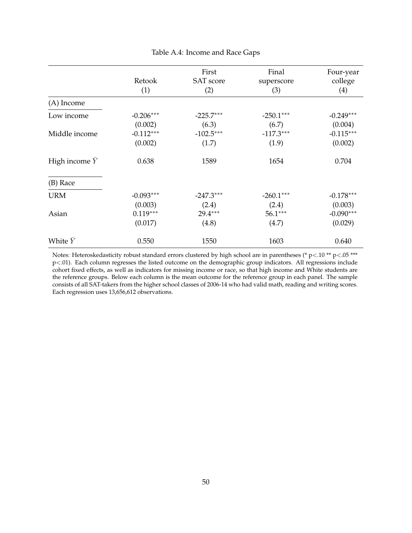<span id="page-51-0"></span>

|                            |             | First            | Final       | Four-year   |
|----------------------------|-------------|------------------|-------------|-------------|
|                            | Retook      | <b>SAT</b> score | superscore  | college     |
|                            | (1)         | (2)              | (3)         | (4)         |
| (A) Income                 |             |                  |             |             |
| Low income                 | $-0.206***$ | $-225.7***$      | $-250.1***$ | $-0.249***$ |
|                            | (0.002)     | (6.3)            | (6.7)       | (0.004)     |
| Middle income              | $-0.112***$ | $-102.5***$      | $-117.3***$ | $-0.115***$ |
|                            | (0.002)     | (1.7)            | (1.9)       | (0.002)     |
| High income $\overline{Y}$ | 0.638       | 1589             | 1654        | 0.704       |
| (B) Race                   |             |                  |             |             |
| <b>URM</b>                 | $-0.093***$ | $-247.3***$      | $-260.1***$ | $-0.178***$ |
|                            | (0.003)     | (2.4)            | (2.4)       | (0.003)     |
| Asian                      | $0.119***$  | 29.4***          | 56.1***     | $-0.090***$ |
|                            | (0.017)     | (4.8)            | (4.7)       | (0.029)     |
| White Y                    | 0.550       | 1550             | 1603        | 0.640       |

Table A.4: Income and Race Gaps

Notes: Heteroskedasticity robust standard errors clustered by high school are in parentheses (\* p<.10 \*\* p<.05 \*\*\* p<.01). Each column regresses the listed outcome on the demographic group indicators. All regressions include cohort fixed effects, as well as indicators for missing income or race, so that high income and White students are the reference groups. Below each column is the mean outcome for the reference group in each panel. The sample consists of all SAT-takers from the higher school classes of 2006-14 who had valid math, reading and writing scores. Each regression uses 13,656,612 observations.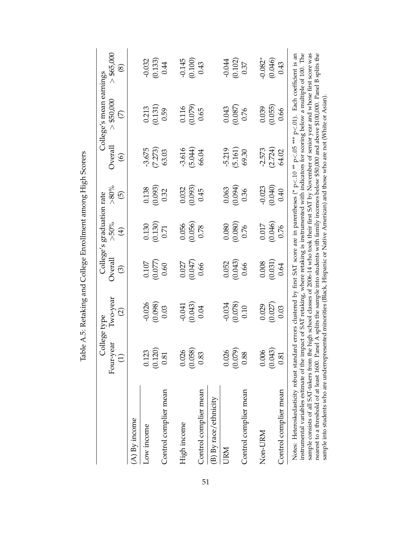<span id="page-52-0"></span>

|                                                                                                                                                                                                                                                                                                                                                                                                                                                                                                                                                                                                                                                                                                                                                                                         | College type<br>Four-year | lwo-year          | Overal  | College's graduation rate<br>$>50\%$ | $> 80\%$            | $\alpha$ orall | College's mean earnings<br>$>$ \$50,000 | > \$65,000    |
|-----------------------------------------------------------------------------------------------------------------------------------------------------------------------------------------------------------------------------------------------------------------------------------------------------------------------------------------------------------------------------------------------------------------------------------------------------------------------------------------------------------------------------------------------------------------------------------------------------------------------------------------------------------------------------------------------------------------------------------------------------------------------------------------|---------------------------|-------------------|---------|--------------------------------------|---------------------|----------------|-----------------------------------------|---------------|
|                                                                                                                                                                                                                                                                                                                                                                                                                                                                                                                                                                                                                                                                                                                                                                                         | $\overline{c}$            | $\widehat{\odot}$ | $\odot$ | $\bigoplus$                          | $\overline{\Theta}$ | $\circledcirc$ | $\overline{\mathcal{C}}$                | $\circledast$ |
| $(A)$ By income                                                                                                                                                                                                                                                                                                                                                                                                                                                                                                                                                                                                                                                                                                                                                                         |                           |                   |         |                                      |                     |                |                                         |               |
| Low income                                                                                                                                                                                                                                                                                                                                                                                                                                                                                                                                                                                                                                                                                                                                                                              | 0.123                     | $-0.026$          | 0.107   | 0.130                                | 0.138               | $-3.675$       | 0.213                                   | $-0.032$      |
|                                                                                                                                                                                                                                                                                                                                                                                                                                                                                                                                                                                                                                                                                                                                                                                         | (0.120)                   | (0.098)           | (0.077) | (0.130)                              | (0.093)             | (7.273)        | (0.131)                                 | (0.133)       |
| Control complier mean                                                                                                                                                                                                                                                                                                                                                                                                                                                                                                                                                                                                                                                                                                                                                                   | 0.81                      | 0.03              | 0.60    | 0.71                                 | 0.32                | 63.03          | 0.59                                    | 0.44          |
| High income                                                                                                                                                                                                                                                                                                                                                                                                                                                                                                                                                                                                                                                                                                                                                                             | 0.026                     | $-0.041$          | 0.027   | 0.056                                | 0.032               | $-3.616$       | 0.116                                   | $-0.145$      |
|                                                                                                                                                                                                                                                                                                                                                                                                                                                                                                                                                                                                                                                                                                                                                                                         | (0.058)                   | (0.043)           | (0.047) | (0.056)                              | (0.093)             | (5.044)        | (0.079)                                 | (0.100)       |
| Control complier mean                                                                                                                                                                                                                                                                                                                                                                                                                                                                                                                                                                                                                                                                                                                                                                   | 0.83                      | 0.04              | 0.66    | 0.78                                 | 0.45                | 66.04          | 0.65                                    | 0.43          |
| (B) By race/ethnicity                                                                                                                                                                                                                                                                                                                                                                                                                                                                                                                                                                                                                                                                                                                                                                   |                           |                   |         |                                      |                     |                |                                         |               |
| URM                                                                                                                                                                                                                                                                                                                                                                                                                                                                                                                                                                                                                                                                                                                                                                                     | 0.026                     | $-0.034$          | 0.052   | 0.080                                | 0.063               | $-5.219$       | 0.043                                   | $-0.044$      |
|                                                                                                                                                                                                                                                                                                                                                                                                                                                                                                                                                                                                                                                                                                                                                                                         | (0.079)                   | (0.078)           | (0.043) | (0.080)                              | (10.094)            | (5.161)        | (0.087)                                 | (0.102)       |
| Control complier mean                                                                                                                                                                                                                                                                                                                                                                                                                                                                                                                                                                                                                                                                                                                                                                   | 0.88                      | 0.10              | 0.66    | 0.76                                 | 0.36                | 69.30          | 0.76                                    | 0.37          |
| Non-URM                                                                                                                                                                                                                                                                                                                                                                                                                                                                                                                                                                                                                                                                                                                                                                                 | 0.006                     | 0.029             | 0.008   | 0.017                                | $-0.023$            | $-2.573$       | 0.039                                   | $-0.082*$     |
|                                                                                                                                                                                                                                                                                                                                                                                                                                                                                                                                                                                                                                                                                                                                                                                         | (0.043)                   | (0.027)           | (0.031) | (0.046)                              | (0.040)             | (2.724)        | (0.055)                                 | (0.046)       |
| Control complier mean                                                                                                                                                                                                                                                                                                                                                                                                                                                                                                                                                                                                                                                                                                                                                                   | 0.81                      | 0.03              | 0.64    | 0.76                                 | 0.40                | 64.02          | 0.66                                    | 0.43          |
| instrumental variables estimate of the impact of SAT retaking, where retaking is instrumented with indicators for scoring below a multiple of 100. The<br>sample consists of all SAT-takers from the high school classes of 2006-14 who took their first SAT by November of senior year and whose first score was<br>nearest to a threshold of at least 1600. Panel A splits the sample into students with family incomes below \$50,000 and above \$100,000. Panel B splits the<br>Notes: Heteroskedasticity robust standard errors clustered by first SAT score are in parentheses (* p < .10 ** p < .05 *** p < .01). Each coefficient is an<br>sample into students who are underrepresented minorities (Black, Hispanic or Native American) and those who are not (White or Asian) |                           |                   |         |                                      |                     |                |                                         |               |

Table A.5: Retaking and College Enrollment among High Scorers Table A.5: Retaking and College Enrollment among High Scorers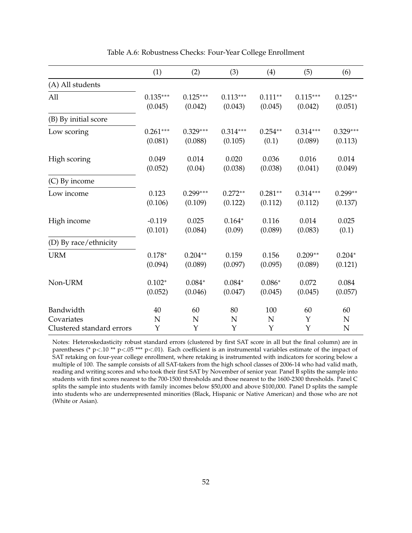<span id="page-53-0"></span>

|                           | (1)         | (2)        | (3)        | (4)        | (5)         | (6)        |
|---------------------------|-------------|------------|------------|------------|-------------|------------|
| (A) All students          |             |            |            |            |             |            |
| All                       | $0.135***$  | $0.125***$ | $0.113***$ | $0.111**$  | $0.115***$  | $0.125**$  |
|                           | (0.045)     | (0.042)    | (0.043)    | (0.045)    | (0.042)     | (0.051)    |
| (B) By initial score      |             |            |            |            |             |            |
| Low scoring               | $0.261***$  | $0.329***$ | $0.314***$ | $0.254***$ | $0.314***$  | $0.329***$ |
|                           | (0.081)     | (0.088)    | (0.105)    | (0.1)      | (0.089)     | (0.113)    |
| High scoring              | 0.049       | 0.014      | 0.020      | 0.036      | 0.016       | 0.014      |
|                           | (0.052)     | (0.04)     | (0.038)    | (0.038)    | (0.041)     | (0.049)    |
| (C) By income             |             |            |            |            |             |            |
| Low income                | 0.123       | $0.299***$ | $0.272**$  | $0.281**$  | $0.314***$  | $0.299**$  |
|                           | (0.106)     | (0.109)    | (0.122)    | (0.112)    | (0.112)     | (0.137)    |
| High income               | $-0.119$    | 0.025      | $0.164*$   | 0.116      | 0.014       | 0.025      |
|                           | (0.101)     | (0.084)    | (0.09)     | (0.089)    | (0.083)     | (0.1)      |
| (D) By race/ethnicity     |             |            |            |            |             |            |
| <b>URM</b>                | $0.178*$    | $0.204**$  | 0.159      | 0.156      | $0.209**$   | $0.204*$   |
|                           | (0.094)     | (0.089)    | (0.097)    | (0.095)    | (0.089)     | (0.121)    |
| Non-URM                   | $0.102*$    | $0.084*$   | $0.084*$   | $0.086*$   | 0.072       | 0.084      |
|                           | (0.052)     | (0.046)    | (0.047)    | (0.045)    | (0.045)     | (0.057)    |
| Bandwidth                 | $40\,$      | 60         | 80         | 100        | 60          | 60         |
| Covariates                | $\mathbf N$ | N          | N          | N          | $\mathbf Y$ | N          |
| Clustered standard errors | Y           | Y          | Y          | Y          | Y           | N          |

Table A.6: Robustness Checks: Four-Year College Enrollment

Notes: Heteroskedasticity robust standard errors (clustered by first SAT score in all but the final column) are in parentheses (\* p <.10 \*\* p <.05 \*\*\* p <.01). Each coefficient is an instrumental variables estimate of the impact of SAT retaking on four-year college enrollment, where retaking is instrumented with indicators for scoring below a multiple of 100. The sample consists of all SAT-takers from the high school classes of 2006-14 who had valid math, reading and writing scores and who took their first SAT by November of senior year. Panel B splits the sample into students with first scores nearest to the 700-1500 thresholds and those nearest to the 1600-2300 thresholds. Panel C splits the sample into students with family incomes below \$50,000 and above \$100,000. Panel D splits the sample into students who are underrepresented minorities (Black, Hispanic or Native American) and those who are not (White or Asian).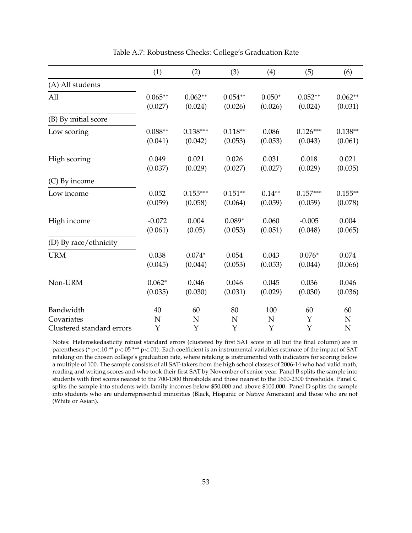<span id="page-54-0"></span>

|                           | (1)       | (2)        | (3)       | (4)       | (5)        | (6)         |
|---------------------------|-----------|------------|-----------|-----------|------------|-------------|
| (A) All students          |           |            |           |           |            |             |
| All                       | $0.065**$ | $0.062**$  | $0.054**$ | $0.050*$  | $0.052**$  | $0.062**$   |
|                           | (0.027)   | (0.024)    | (0.026)   | (0.026)   | (0.024)    | (0.031)     |
| (B) By initial score      |           |            |           |           |            |             |
| Low scoring               | $0.088**$ | $0.138***$ | $0.118**$ | 0.086     | $0.126***$ | $0.138**$   |
|                           | (0.041)   | (0.042)    | (0.053)   | (0.053)   | (0.043)    | (0.061)     |
| High scoring              | 0.049     | 0.021      | 0.026     | 0.031     | 0.018      | 0.021       |
|                           | (0.037)   | (0.029)    | (0.027)   | (0.027)   | (0.029)    | (0.035)     |
| (C) By income             |           |            |           |           |            |             |
| Low income                | 0.052     | $0.155***$ | $0.151**$ | $0.14***$ | $0.157***$ | $0.155***$  |
|                           | (0.059)   | (0.058)    | (0.064)   | (0.059)   | (0.059)    | (0.078)     |
| High income               | $-0.072$  | 0.004      | $0.089*$  | 0.060     | $-0.005$   | 0.004       |
|                           | (0.061)   | (0.05)     | (0.053)   | (0.051)   | (0.048)    | (0.065)     |
| (D) By race/ethnicity     |           |            |           |           |            |             |
| <b>URM</b>                | 0.038     | $0.074*$   | 0.054     | 0.043     | $0.076*$   | 0.074       |
|                           | (0.045)   | (0.044)    | (0.053)   | (0.053)   | (0.044)    | (0.066)     |
| Non-URM                   | $0.062*$  | 0.046      | 0.046     | 0.045     | 0.036      | 0.046       |
|                           | (0.035)   | (0.030)    | (0.031)   | (0.029)   | (0.030)    | (0.036)     |
| Bandwidth                 | 40        | 60         | 80        | 100       | 60         | 60          |
| Covariates                | N         | N          | N         | N         | Y          | $\mathbf N$ |
| Clustered standard errors | Y         | Y          | Y         | Υ         | Y          | $\mathbf N$ |

#### Table A.7: Robustness Checks: College's Graduation Rate

Notes: Heteroskedasticity robust standard errors (clustered by first SAT score in all but the final column) are in parentheses (\* p <.10 \*\* p <.05 \*\*\* p <.01). Each coefficient is an instrumental variables estimate of the impact of SAT retaking on the chosen college's graduation rate, where retaking is instrumented with indicators for scoring below a multiple of 100. The sample consists of all SAT-takers from the high school classes of 2006-14 who had valid math, reading and writing scores and who took their first SAT by November of senior year. Panel B splits the sample into students with first scores nearest to the 700-1500 thresholds and those nearest to the 1600-2300 thresholds. Panel C splits the sample into students with family incomes below \$50,000 and above \$100,000. Panel D splits the sample into students who are underrepresented minorities (Black, Hispanic or Native American) and those who are not (White or Asian).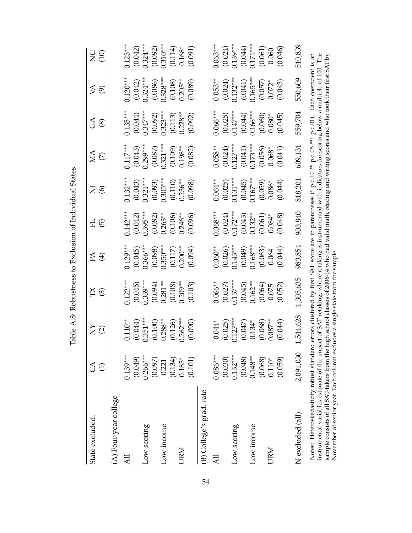<span id="page-55-0"></span>

| State excluded:                                                                                                                                                                                                                                                                                   | $\mathcal{L}$<br>$\ominus$ | $\boldsymbol{\breve{\Sigma}} \, \boldsymbol{\widehat{\odot}}$ | ζ.<br>Κ                                                                                                                                                                                                                                                           | $\mathbb{A} \oplus$     | 丘<br>⑤                  | Σ©                                                                                                                 | $\sum_{i=1}^{n}$                                                                                                    | $\mathbb{G}\otimes$                                                             | $\lesssim$ $\odot$                | 290                               |
|---------------------------------------------------------------------------------------------------------------------------------------------------------------------------------------------------------------------------------------------------------------------------------------------------|----------------------------|---------------------------------------------------------------|-------------------------------------------------------------------------------------------------------------------------------------------------------------------------------------------------------------------------------------------------------------------|-------------------------|-------------------------|--------------------------------------------------------------------------------------------------------------------|---------------------------------------------------------------------------------------------------------------------|---------------------------------------------------------------------------------|-----------------------------------|-----------------------------------|
| (A) Four-year college                                                                                                                                                                                                                                                                             |                            |                                                               |                                                                                                                                                                                                                                                                   |                         |                         |                                                                                                                    |                                                                                                                     |                                                                                 |                                   |                                   |
| Ę                                                                                                                                                                                                                                                                                                 | $0.139***$<br>(0.049)      | $0.110***$<br>(0.044)                                         | $0.122***$<br>(0.045)                                                                                                                                                                                                                                             | $0.129***$              | $0.142***$<br>(0.042)   | $0.132***$<br>(0.043)                                                                                              | $0.117***$                                                                                                          | $0.135***$                                                                      | $0.120***$<br>(0.042)             | $0.123***$<br>(0.042)             |
| Low scoring                                                                                                                                                                                                                                                                                       | $0.266***$<br>(0.097)      | $0.351***$                                                    | $0.339***$                                                                                                                                                                                                                                                        | $(0.045)$<br>0.366***   | $0.395***$              |                                                                                                                    | $\begin{array}{c} (0.043) \\ 0.299^{***} \\ (0.087) \\ 0.321^{***} \\ (0.109) \\ (0.109) \\ 0.198^{**} \end{array}$ | $\begin{array}{c} (0.044) \\ 0.347^{***} \\ (0.092) \\ 0.323^{***} \end{array}$ | $0.324***$<br>(0.086)<br>0.328*** | $0.324***$<br>(0.092)<br>0.310*** |
| Low income                                                                                                                                                                                                                                                                                        | 0.221                      | $(0.100)$<br>0.288**                                          | $(0.094)$<br>0.281**                                                                                                                                                                                                                                              | $(0.098)$<br>$0.350***$ | $(0.082)$<br>0.263**    |                                                                                                                    |                                                                                                                     |                                                                                 |                                   |                                   |
| <b>URM</b>                                                                                                                                                                                                                                                                                        | (0.134)<br>$0.185*$        | $0.262***$<br>(0.126)                                         | $(0.108)$<br>$0.209***$                                                                                                                                                                                                                                           | $(0.117)$<br>$0.200***$ | $(0.106)$<br>0.246**    | $\begin{array}{c} 0.321^{***} \ 0.093) \ 0.305^{***} \ 0.110) \ 0.236^{**} \end{array}$                            |                                                                                                                     | $(0.113)$<br>$0.228***$                                                         | $(0.108)$<br>$0.205***$           | $(0.114)$<br>0.168*               |
|                                                                                                                                                                                                                                                                                                   | (0.101)                    | (0.090)                                                       | (0.103)                                                                                                                                                                                                                                                           | (10.094)                | (0.096)                 | (0.098)                                                                                                            | (0.082)                                                                                                             | (0.092)                                                                         | (0.089)                           | (0.091)                           |
| (B) College's grad. rate                                                                                                                                                                                                                                                                          |                            |                                                               |                                                                                                                                                                                                                                                                   |                         |                         |                                                                                                                    |                                                                                                                     |                                                                                 |                                   |                                   |
| 급                                                                                                                                                                                                                                                                                                 | $0.086***$                 | $0.044*$                                                      | $0.066**$                                                                                                                                                                                                                                                         | $0.060***$              | $0.068***$              | $0.064***$                                                                                                         | $0.058**$                                                                                                           | $0.066***$                                                                      | $0.053***$                        | $0.063***$                        |
|                                                                                                                                                                                                                                                                                                   | (0.030)                    | $(0.025)$<br>$0.127***$                                       | $(0.027)$<br>0.157***                                                                                                                                                                                                                                             | $(0.026)$<br>0.143***   | $(0.024)$<br>$0.172***$ |                                                                                                                    | $(0.024)$<br>0.127***                                                                                               |                                                                                 | (0.024)                           | (0.024)                           |
| Low scoring                                                                                                                                                                                                                                                                                       | $0.132***$                 |                                                               |                                                                                                                                                                                                                                                                   |                         |                         | $\begin{array}{c} (0.025) \\ 0.131^{***} \\ (0.045) \\ 0.167^{***} \\ (0.059) \\ (0.059) \\ 0.086^{*} \end{array}$ |                                                                                                                     | $(0.025)$<br>0.147***<br>0.044)<br>0.166***                                     | $0.132***$                        | $0.139***$                        |
|                                                                                                                                                                                                                                                                                                   | (0.048)                    | $(0.047)$<br>0.134*                                           | $(0.045)$<br>0.162**                                                                                                                                                                                                                                              | $(0.049)$<br>0.168***   | $(0.043)$<br>0.132**    |                                                                                                                    | $(0.041)$<br>0.173***                                                                                               |                                                                                 | $(0.041)$<br>0.165***             | $(0.044)$<br>0.171***             |
| Low income                                                                                                                                                                                                                                                                                        | $0.148**$                  |                                                               |                                                                                                                                                                                                                                                                   |                         |                         |                                                                                                                    |                                                                                                                     |                                                                                 |                                   |                                   |
|                                                                                                                                                                                                                                                                                                   | (0.068)                    | $(0.068)$<br>$0.087***$                                       | $(0.064)$<br>0.075                                                                                                                                                                                                                                                | $(0.063)$<br>0.064      | $(0.061)$<br>$0.084*$   |                                                                                                                    | $(0.056)$<br>$0.068*$                                                                                               | $(0.060)$<br>$0.080*$                                                           | $(0.057)$<br>$0.072*$             | $(0.061)$<br>$0.060$              |
| URM                                                                                                                                                                                                                                                                                               | $0.110*$                   |                                                               |                                                                                                                                                                                                                                                                   |                         |                         |                                                                                                                    |                                                                                                                     |                                                                                 |                                   |                                   |
|                                                                                                                                                                                                                                                                                                   | (0.059)                    | (0.044)                                                       | (0.052)                                                                                                                                                                                                                                                           | (0.044)                 | (0.048)                 | (0.044)                                                                                                            | (0.041)                                                                                                             | (0.045)                                                                         | (0.043)                           | (0.046)                           |
| N excluded (all)                                                                                                                                                                                                                                                                                  | 2,091,030                  | 1,544,628                                                     | 1,305,635                                                                                                                                                                                                                                                         | 983,854                 | 903,840                 | 818,201                                                                                                            | 609,131                                                                                                             | 559,704                                                                         | 550,609                           | 510,839                           |
| sample consists of all SAT-takers from the high school classes of 2006-14 who had valid math, reading and writing scores and who took their first SAT by<br>Notes: Heteroskedasticity robust standard<br>instrumental variables estimate of the impa<br>November of senior year. Each column excl |                            |                                                               | ct of SAT retaking, where retaking is instrumented with indicators for scoring below a multiple of 100. The<br>errors clustered by first SAT score are in parentheses (* p<.10 ** p<.05 *** p<.01). Each coefficient is an<br>udes a single state from the sample |                         |                         |                                                                                                                    |                                                                                                                     |                                                                                 |                                   |                                   |

Table A.8: Robustness to Exclusion of Individual States Table A.8: Robustness to Exclusion of Individual States